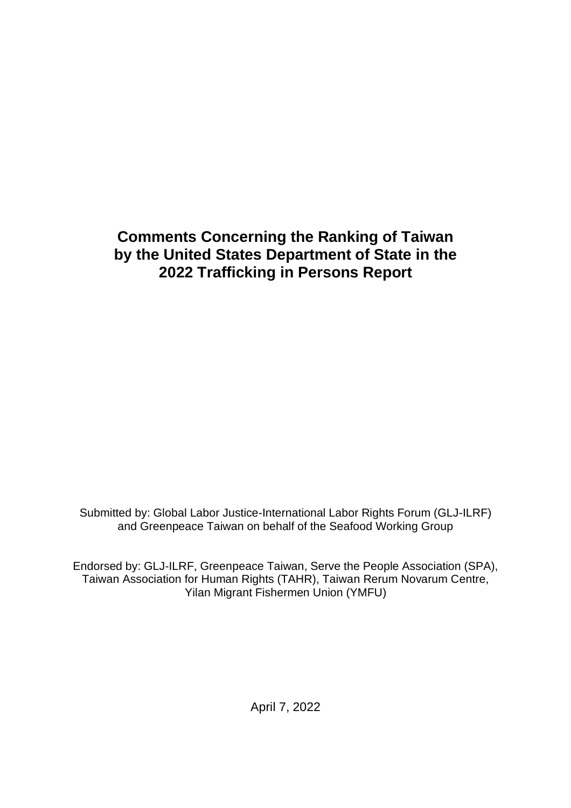# **Comments Concerning the Ranking of Taiwan by the United States Department of State in the 2022 Trafficking in Persons Report**

Submitted by: Global Labor Justice-International Labor Rights Forum (GLJ-ILRF) and Greenpeace Taiwan on behalf of the Seafood Working Group

Endorsed by: GLJ-ILRF, Greenpeace Taiwan, Serve the People Association (SPA), Taiwan Association for Human Rights (TAHR), Taiwan Rerum Novarum Centre, Yilan Migrant Fishermen Union (YMFU)

April 7, 2022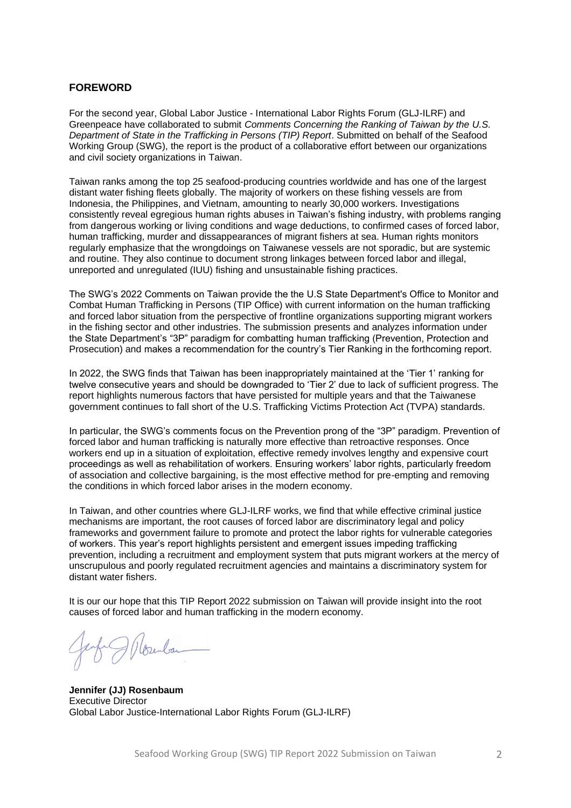#### <span id="page-1-0"></span>**FOREWORD**

For the second year, Global Labor Justice - International Labor Rights Forum (GLJ-ILRF) and Greenpeace have collaborated to submit *Comments Concerning the Ranking of Taiwan by the U.S. Department of State in the Trafficking in Persons (TIP) Report*. Submitted on behalf of the Seafood Working Group (SWG), the report is the product of a collaborative effort between our organizations and civil society organizations in Taiwan.

Taiwan ranks among the top 25 seafood-producing countries worldwide and has one of the largest distant water fishing fleets globally. The majority of workers on these fishing vessels are from Indonesia, the Philippines, and Vietnam, amounting to nearly 30,000 workers. Investigations consistently reveal egregious human rights abuses in Taiwan's fishing industry, with problems ranging from dangerous working or living conditions and wage deductions, to confirmed cases of forced labor, human trafficking, murder and dissappearances of migrant fishers at sea. Human rights monitors regularly emphasize that the wrongdoings on Taiwanese vessels are not sporadic, but are systemic and routine. They also continue to document strong linkages between forced labor and illegal, unreported and unregulated (IUU) fishing and unsustainable fishing practices.

The SWG's 2022 Comments on Taiwan provide the the U.S State Department's Office to Monitor and Combat Human Trafficking in Persons (TIP Office) with current information on the human trafficking and forced labor situation from the perspective of frontline organizations supporting migrant workers in the fishing sector and other industries. The submission presents and analyzes information under the State Department's "3P" paradigm for combatting human trafficking (Prevention, Protection and Prosecution) and makes a recommendation for the country's Tier Ranking in the forthcoming report.

In 2022, the SWG finds that Taiwan has been inappropriately maintained at the 'Tier 1' ranking for twelve consecutive years and should be downgraded to 'Tier 2' due to lack of sufficient progress. The report highlights numerous factors that have persisted for multiple years and that the Taiwanese government continues to fall short of the U.S. Trafficking Victims Protection Act (TVPA) standards.

In particular, the SWG's comments focus on the Prevention prong of the "3P" paradigm. Prevention of forced labor and human trafficking is naturally more effective than retroactive responses. Once workers end up in a situation of exploitation, effective remedy involves lengthy and expensive court proceedings as well as rehabilitation of workers. Ensuring workers' labor rights, particularly freedom of association and collective bargaining, is the most effective method for pre-empting and removing the conditions in which forced labor arises in the modern economy.

In Taiwan, and other countries where GLJ-ILRF works, we find that while effective criminal justice mechanisms are important, the root causes of forced labor are discriminatory legal and policy frameworks and government failure to promote and protect the labor rights for vulnerable categories of workers. This year's report highlights persistent and emergent issues impeding trafficking prevention, including a recruitment and employment system that puts migrant workers at the mercy of unscrupulous and poorly regulated recruitment agencies and maintains a discriminatory system for distant water fishers.

It is our our hope that this TIP Report 2022 submission on Taiwan will provide insight into the root causes of forced labor and human trafficking in the modern economy.

**Jennifer (JJ) Rosenbaum** Executive Director Global Labor Justice-International Labor Rights Forum (GLJ-ILRF)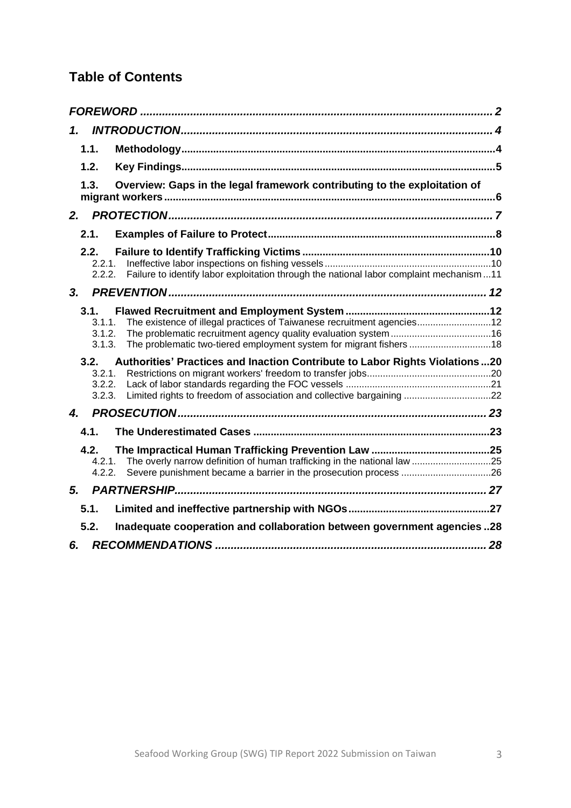# **Table of Contents**

| 1.                                 |                                                                                                                                                      |  |
|------------------------------------|------------------------------------------------------------------------------------------------------------------------------------------------------|--|
| 1.1.                               |                                                                                                                                                      |  |
| 1.2.                               |                                                                                                                                                      |  |
| 1.3.                               | Overview: Gaps in the legal framework contributing to the exploitation of                                                                            |  |
| 2.                                 |                                                                                                                                                      |  |
| 2.1.                               |                                                                                                                                                      |  |
| 2.2.<br>2.2.1<br>2.2.2.            | Failure to identify labor exploitation through the national labor complaint mechanism11                                                              |  |
| 3 <sub>1</sub>                     |                                                                                                                                                      |  |
| 3.1.<br>3.1.1<br>3.1.2.<br>3.1.3.  | The existence of illegal practices of Taiwanese recruitment agencies 12<br>The problematic two-tiered employment system for migrant fishers 18       |  |
| 3.2.<br>3.2.1.<br>3.2.2.<br>3.2.3. | Authorities' Practices and Inaction Contribute to Labor Rights Violations20<br>Limited rights to freedom of association and collective bargaining 22 |  |
| 4.                                 |                                                                                                                                                      |  |
| 4.1.                               |                                                                                                                                                      |  |
| 4.2.<br>4.2.1.<br>4.2.2.           | The overly narrow definition of human trafficking in the national law 25                                                                             |  |
| 5.                                 |                                                                                                                                                      |  |
| 5.1.                               |                                                                                                                                                      |  |
| 5.2.                               | Inadequate cooperation and collaboration between government agencies 28                                                                              |  |
| 6.                                 |                                                                                                                                                      |  |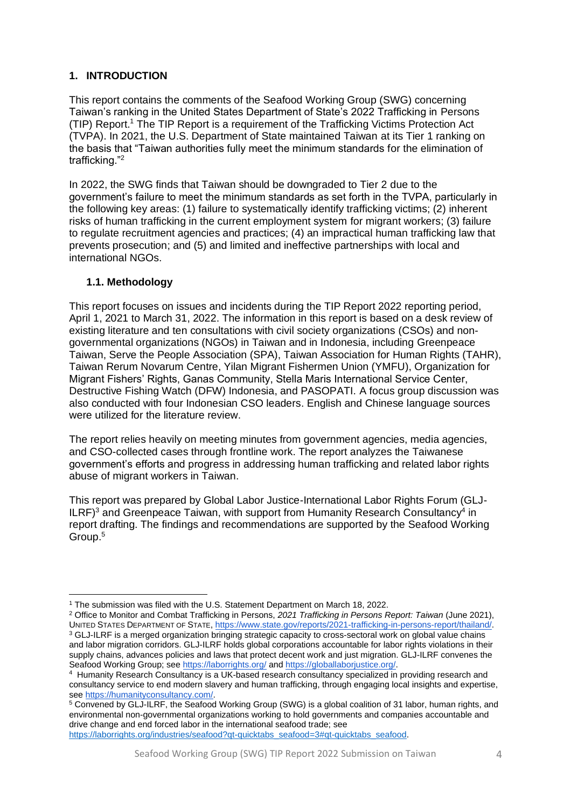## <span id="page-3-0"></span>**1. INTRODUCTION**

This report contains the comments of the Seafood Working Group (SWG) concerning Taiwan's ranking in the United States Department of State's 2022 Trafficking in Persons (TIP) Report.<sup>1</sup> The TIP Report is a requirement of the Trafficking Victims Protection Act (TVPA). In 2021, the U.S. Department of State maintained Taiwan at its Tier 1 ranking on the basis that "Taiwan authorities fully meet the minimum standards for the elimination of trafficking."<sup>2</sup>

In 2022, the SWG finds that Taiwan should be downgraded to Tier 2 due to the government's failure to meet the minimum standards as set forth in the TVPA, particularly in the following key areas: (1) failure to systematically identify trafficking victims; (2) inherent risks of human trafficking in the current employment system for migrant workers; (3) failure to regulate recruitment agencies and practices; (4) an impractical human trafficking law that prevents prosecution; and (5) and limited and ineffective partnerships with local and international NGOs.

#### <span id="page-3-1"></span>**1.1. Methodology**

This report focuses on issues and incidents during the TIP Report 2022 reporting period, April 1, 2021 to March 31, 2022. The information in this report is based on a desk review of existing literature and ten consultations with civil society organizations (CSOs) and nongovernmental organizations (NGOs) in Taiwan and in Indonesia, including Greenpeace Taiwan, Serve the People Association (SPA), Taiwan Association for Human Rights (TAHR), Taiwan Rerum Novarum Centre, Yilan Migrant Fishermen Union (YMFU), Organization for Migrant Fishers' Rights, Ganas Community, Stella Maris International Service Center, Destructive Fishing Watch (DFW) Indonesia, and PASOPATI. A focus group discussion was also conducted with four Indonesian CSO leaders. English and Chinese language sources were utilized for the literature review.

The report relies heavily on meeting minutes from government agencies, media agencies, and CSO-collected cases through frontline work. The report analyzes the Taiwanese government's efforts and progress in addressing human trafficking and related labor rights abuse of migrant workers in Taiwan.

This report was prepared by Global Labor Justice-International Labor Rights Forum (GLJ-ILRF)<sup>3</sup> and Greenpeace Taiwan, with support from Humanity Research Consultancy<sup>4</sup> in report drafting. The findings and recommendations are supported by the Seafood Working Group.<sup>5</sup>

https://laborrights.org/industries/seafood?gt-quicktabs\_seafood=3#qt-quicktabs\_seafood.

<sup>1</sup> The submission was filed with the U.S. Statement Department on March 18, 2022.

<sup>2</sup> Office to Monitor and Combat Trafficking in Persons, *2021 Trafficking in Persons Report: Taiwan* (June 2021), UNITED STATES DEPARTMENT OF STATE, [https://www.state.gov/reports/2021-trafficking-in-persons-report/thailand/.](https://www.state.gov/reports/2021-trafficking-in-persons-report/thailand/) <sup>3</sup> GLJ-ILRF is a merged organization bringing strategic capacity to cross-sectoral work on global value chains and labor migration corridors. GLJ-ILRF holds global corporations accountable for labor rights violations in their supply chains, advances policies and laws that protect decent work and just migration. GLJ-ILRF convenes the Seafood Working Group; se[e https://laborrights.org/](https://laborrights.org/) an[d https://globallaborjustice.org/.](https://globallaborjustice.org/)

<sup>4</sup> Humanity Research Consultancy is a UK-based research consultancy specialized in providing research and consultancy service to end modern slavery and human trafficking, through engaging local insights and expertise, see [https://humanityconsultancy.com/.](https://humanityconsultancy.com/)

<sup>5</sup> Convened by GLJ-ILRF, the Seafood Working Group (SWG) is a global coalition of 31 labor, human rights, and environmental non-governmental organizations working to hold governments and companies accountable and drive change and end forced labor in the international seafood trade; see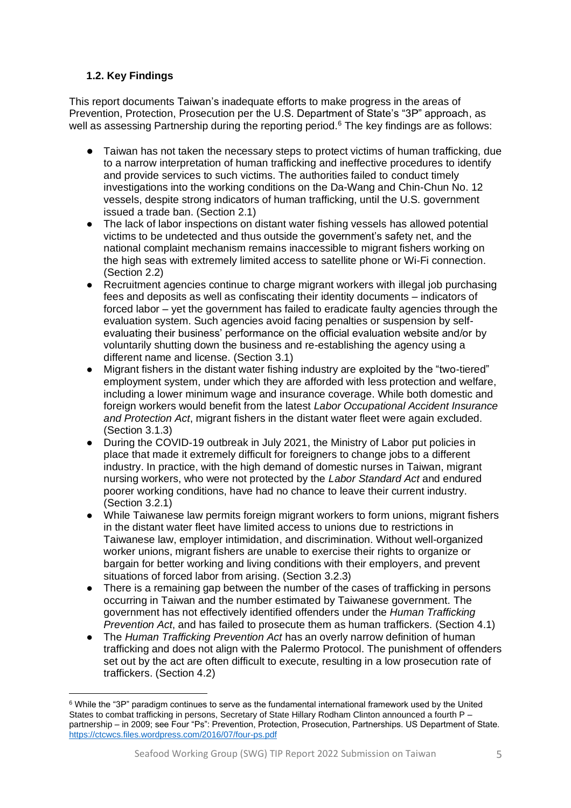# <span id="page-4-0"></span>**1.2. Key Findings**

This report documents Taiwan's inadequate efforts to make progress in the areas of Prevention, Protection, Prosecution per the U.S. Department of State's "3P" approach, as well as assessing Partnership during the reporting period.<sup>6</sup> The key findings are as follows:

- Taiwan has not taken the necessary steps to protect victims of human trafficking, due to a narrow interpretation of human trafficking and ineffective procedures to identify and provide services to such victims. The authorities failed to conduct timely investigations into the working conditions on the Da-Wang and Chin-Chun No. 12 vessels, despite strong indicators of human trafficking, until the U.S. government issued a trade ban. (Section 2.1)
- The lack of labor inspections on distant water fishing vessels has allowed potential victims to be undetected and thus outside the government's safety net, and the national complaint mechanism remains inaccessible to migrant fishers working on the high seas with extremely limited access to satellite phone or Wi-Fi connection. (Section 2.2)
- Recruitment agencies continue to charge migrant workers with illegal job purchasing fees and deposits as well as confiscating their identity documents – indicators of forced labor – yet the government has failed to eradicate faulty agencies through the evaluation system. Such agencies avoid facing penalties or suspension by selfevaluating their business' performance on the official evaluation website and/or by voluntarily shutting down the business and re-establishing the agency using a different name and license. (Section 3.1)
- Migrant fishers in the distant water fishing industry are exploited by the "two-tiered" employment system, under which they are afforded with less protection and welfare, including a lower minimum wage and insurance coverage. While both domestic and foreign workers would benefit from the latest *Labor Occupational Accident Insurance and Protection Act*, migrant fishers in the distant water fleet were again excluded. (Section 3.1.3)
- During the COVID-19 outbreak in July 2021, the Ministry of Labor put policies in place that made it extremely difficult for foreigners to change jobs to a different industry. In practice, with the high demand of domestic nurses in Taiwan, migrant nursing workers, who were not protected by the *Labor Standard Act* and endured poorer working conditions, have had no chance to leave their current industry. (Section 3.2.1)
- While Taiwanese law permits foreign migrant workers to form unions, migrant fishers in the distant water fleet have limited access to unions due to restrictions in Taiwanese law, employer intimidation, and discrimination. Without well-organized worker unions, migrant fishers are unable to exercise their rights to organize or bargain for better working and living conditions with their employers, and prevent situations of forced labor from arising. (Section 3.2.3)
- There is a remaining gap between the number of the cases of trafficking in persons occurring in Taiwan and the number estimated by Taiwanese government. The government has not effectively identified offenders under the *Human Trafficking Prevention Act*, and has failed to prosecute them as human traffickers. (Section 4.1)
- The *Human Trafficking Prevention Act* has an overly narrow definition of human trafficking and does not align with the Palermo Protocol. The punishment of offenders set out by the act are often difficult to execute, resulting in a low prosecution rate of traffickers. (Section 4.2)

<sup>6</sup> While the "3P" paradigm continues to serve as the fundamental international framework used by the United States to combat trafficking in persons, Secretary of State Hillary Rodham Clinton announced a fourth P – partnership – in 2009; see Four "Ps": Prevention, Protection, Prosecution, Partnerships. US Department of State. <https://ctcwcs.files.wordpress.com/2016/07/four-ps.pdf>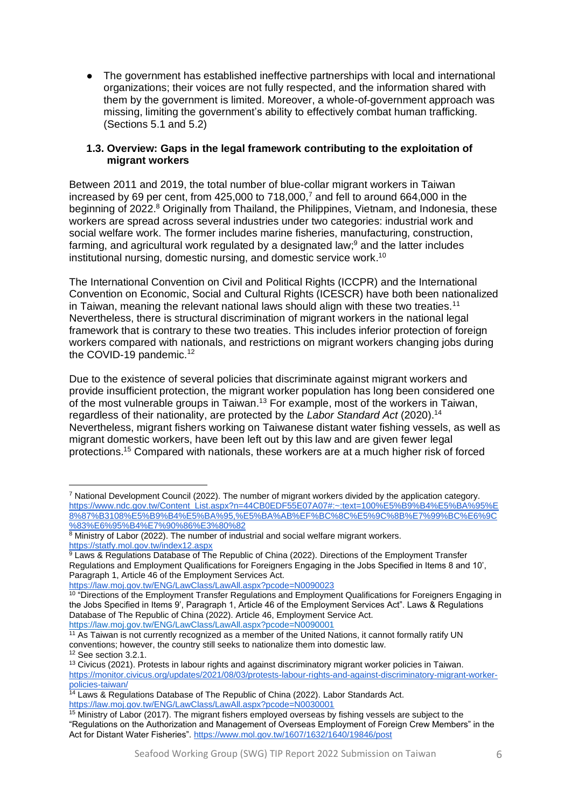The government has established ineffective partnerships with local and international organizations; their voices are not fully respected, and the information shared with them by the government is limited. Moreover, a whole-of-government approach was missing, limiting the government's ability to effectively combat human trafficking. (Sections 5.1 and 5.2)

#### <span id="page-5-0"></span>**1.3. Overview: Gaps in the legal framework contributing to the exploitation of migrant workers**

Between 2011 and 2019, the total number of blue-collar migrant workers in Taiwan increased by 69 per cent, from  $425,000$  to  $718,000$ ,<sup>7</sup> and fell to around 664.000 in the beginning of 2022.<sup>8</sup> Originally from Thailand, the Philippines, Vietnam, and Indonesia, these workers are spread across several industries under two categories: industrial work and social welfare work. The former includes marine fisheries, manufacturing, construction, farming, and agricultural work regulated by a designated law;<sup>9</sup> and the latter includes institutional nursing, domestic nursing, and domestic service work.<sup>10</sup>

The International Convention on Civil and Political Rights (ICCPR) and the International Convention on Economic, Social and Cultural Rights (ICESCR) have both been nationalized in Taiwan, meaning the relevant national laws should align with these two treaties.<sup>11</sup> Nevertheless, there is structural discrimination of migrant workers in the national legal framework that is contrary to these two treaties. This includes inferior protection of foreign workers compared with nationals, and restrictions on migrant workers changing jobs during the COVID-19 pandemic.<sup>12</sup>

Due to the existence of several policies that discriminate against migrant workers and provide insufficient protection, the migrant worker population has long been considered one of the most vulnerable groups in Taiwan.<sup>13</sup> For example, most of the workers in Taiwan, regardless of their nationality, are protected by the *Labor Standard Act* (2020).<sup>14</sup> Nevertheless, migrant fishers working on Taiwanese distant water fishing vessels, as well as migrant domestic workers, have been left out by this law and are given fewer legal protections.<sup>15</sup> Compared with nationals, these workers are at a much higher risk of forced

<https://law.moj.gov.tw/ENG/LawClass/LawAll.aspx?pcode=N0090023>

<sup>7</sup> National Development Council (2022). The number of migrant workers divided by the application category. [https://www.ndc.gov.tw/Content\\_List.aspx?n=44CB0EDF55E07A07#:~:text=100%E5%B9%B4%E5%BA%95%E](https://www.ndc.gov.tw/Content_List.aspx?n=44CB0EDF55E07A07#:~:text=100%E5%B9%B4%E5%BA%95%E8%87%B3108%E5%B9%B4%E5%BA%95,%E5%BA%AB%EF%BC%8C%E5%9C%8B%E7%99%BC%E6%9C%83%E6%95%B4%E7%90%86%E3%80%82) [8%87%B3108%E5%B9%B4%E5%BA%95,%E5%BA%AB%EF%BC%8C%E5%9C%8B%E7%99%BC%E6%9C](https://www.ndc.gov.tw/Content_List.aspx?n=44CB0EDF55E07A07#:~:text=100%E5%B9%B4%E5%BA%95%E8%87%B3108%E5%B9%B4%E5%BA%95,%E5%BA%AB%EF%BC%8C%E5%9C%8B%E7%99%BC%E6%9C%83%E6%95%B4%E7%90%86%E3%80%82) [%83%E6%95%B4%E7%90%86%E3%80%82](https://www.ndc.gov.tw/Content_List.aspx?n=44CB0EDF55E07A07#:~:text=100%E5%B9%B4%E5%BA%95%E8%87%B3108%E5%B9%B4%E5%BA%95,%E5%BA%AB%EF%BC%8C%E5%9C%8B%E7%99%BC%E6%9C%83%E6%95%B4%E7%90%86%E3%80%82)

<sup>8</sup> Ministry of Labor (2022). The number of industrial and social welfare migrant workers. <https://statfy.mol.gov.tw/index12.aspx>

 $9$  Laws & Regulations Database of The Republic of China (2022). Directions of the Employment Transfer Regulations and Employment Qualifications for Foreigners Engaging in the Jobs Specified in Items 8 and 10', Paragraph 1, Article 46 of the Employment Services Act.

 $10$  "Directions of the Employment Transfer Regulations and Employment Qualifications for Foreigners Engaging in the Jobs Specified in Items 9', Paragraph 1, Article 46 of the Employment Services Act". Laws & Regulations Database of The Republic of China (2022). Article 46, Employment Service Act. <https://law.moj.gov.tw/ENG/LawClass/LawAll.aspx?pcode=N0090001>

<sup>&</sup>lt;sup>11</sup> As Taiwan is not currently recognized as a member of the United Nations, it cannot formally ratify UN conventions; however, the country still seeks to nationalize them into domestic law. <sup>12</sup> See section 3.2.1.

<sup>&</sup>lt;sup>13</sup> Civicus (2021). Protests in labour rights and against discriminatory migrant worker policies in Taiwan. [https://monitor.civicus.org/updates/2021/08/03/protests-labour-rights-and-against-discriminatory-migrant-worker](https://monitor.civicus.org/updates/2021/08/03/protests-labour-rights-and-against-discriminatory-migrant-worker-policies-taiwan/)[policies-taiwan/](https://monitor.civicus.org/updates/2021/08/03/protests-labour-rights-and-against-discriminatory-migrant-worker-policies-taiwan/)

<sup>&</sup>lt;sup>14</sup> Laws & Regulations Database of The Republic of China (2022). Labor Standards Act. <https://law.moj.gov.tw/ENG/LawClass/LawAll.aspx?pcode=N0030001>

 $15$  Ministry of Labor (2017). The migrant fishers employed overseas by fishing vessels are subject to the "Regulations on the Authorization and Management of Overseas Employment of Foreign Crew Members" in the Act for Distant Water Fisheries".<https://www.mol.gov.tw/1607/1632/1640/19846/post>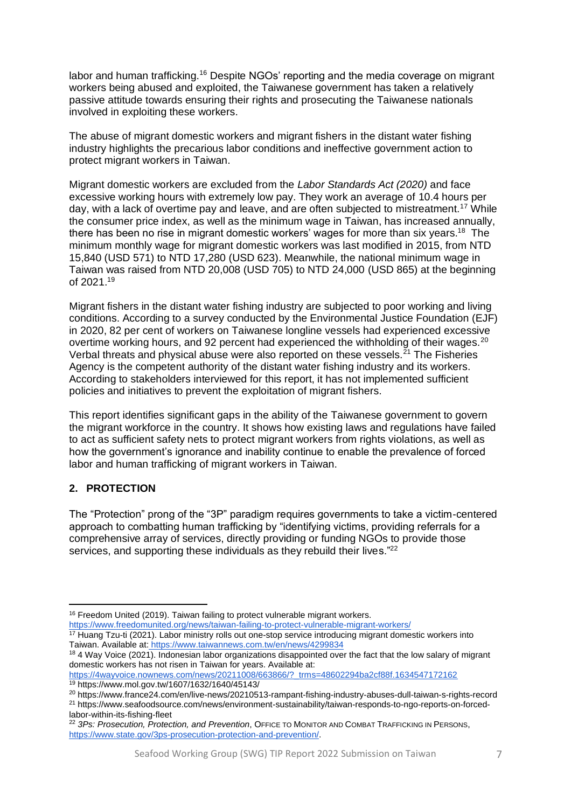labor and human trafficking.<sup>16</sup> Despite NGOs' reporting and the media coverage on migrant workers being abused and exploited, the Taiwanese government has taken a relatively passive attitude towards ensuring their rights and prosecuting the Taiwanese nationals involved in exploiting these workers.

The abuse of migrant domestic workers and migrant fishers in the distant water fishing industry highlights the precarious labor conditions and ineffective government action to protect migrant workers in Taiwan.

Migrant domestic workers are excluded from the *Labor Standards Act (2020)* and face excessive working hours with extremely low pay. They work an average of 10.4 hours per day, with a lack of overtime pay and leave, and are often subjected to mistreatment.<sup>17</sup> While the consumer price index, as well as the minimum wage in Taiwan, has increased annually, there has been no rise in migrant domestic workers' wages for more than six years.<sup>18</sup> The minimum monthly wage for migrant domestic workers was last modified in 2015, from NTD 15,840 (USD 571) to NTD 17,280 (USD 623). Meanwhile, the national minimum wage in Taiwan was raised from NTD 20,008 (USD 705) to NTD 24,000 (USD 865) at the beginning of 2021.<sup>19</sup>

Migrant fishers in the distant water fishing industry are subjected to poor working and living conditions. According to a survey conducted by the Environmental Justice Foundation (EJF) in 2020, 82 per cent of workers on Taiwanese longline vessels had experienced excessive overtime working hours, and 92 percent had experienced the withholding of their wages.<sup>20</sup> Verbal threats and physical abuse were also reported on these vessels. $^{21}$  The Fisheries Agency is the competent authority of the distant water fishing industry and its workers. According to stakeholders interviewed for this report, it has not implemented sufficient policies and initiatives to prevent the exploitation of migrant fishers.

This report identifies significant gaps in the ability of the Taiwanese government to govern the migrant workforce in the country. It shows how existing laws and regulations have failed to act as sufficient safety nets to protect migrant workers from rights violations, as well as how the government's ignorance and inability continue to enable the prevalence of forced labor and human trafficking of migrant workers in Taiwan.

# <span id="page-6-0"></span>**2. PROTECTION**

The "Protection" prong of the "3P" paradigm requires governments to take a victim-centered approach to combatting human trafficking by "identifying victims, providing referrals for a comprehensive array of services, directly providing or funding NGOs to provide those services, and supporting these individuals as they rebuild their lives."<sup>22</sup>

<sup>&</sup>lt;sup>16</sup> Freedom United (2019). Taiwan failing to protect vulnerable migrant workers.

<https://www.freedomunited.org/news/taiwan-failing-to-protect-vulnerable-migrant-workers/> <sup>17</sup> Huang Tzu-ti (2021). Labor ministry rolls out one-stop service introducing migrant domestic workers into Taiwan. Available at: <https://www.taiwannews.com.tw/en/news/4299834>

<sup>&</sup>lt;sup>18</sup> 4 Way Voice (2021). Indonesian labor organizations disappointed over the fact that the low salary of migrant domestic workers has not risen in Taiwan for years. Available at:

[https://4wayvoice.nownews.com/news/20211008/663866/?\\_trms=48602294ba2cf88f.1634547172162](https://4wayvoice.nownews.com/news/20211008/663866/?_trms=48602294ba2cf88f.1634547172162) <sup>19</sup> https://www.mol.gov.tw/1607/1632/1640/45143/

<sup>20</sup> https://www.france24.com/en/live-news/20210513-rampant-fishing-industry-abuses-dull-taiwan-s-rights-record

<sup>21</sup> https://www.seafoodsource.com/news/environment-sustainability/taiwan-responds-to-ngo-reports-on-forcedlabor-within-its-fishing-fleet

<sup>22</sup> *3Ps: Prosecution, Protection, and Prevention*, OFFICE TO MONITOR AND COMBAT TRAFFICKING IN PERSONS, [https://www.state.gov/3ps-prosecution-protection-and-prevention/.](https://www.state.gov/3ps-prosecution-protection-and-prevention/)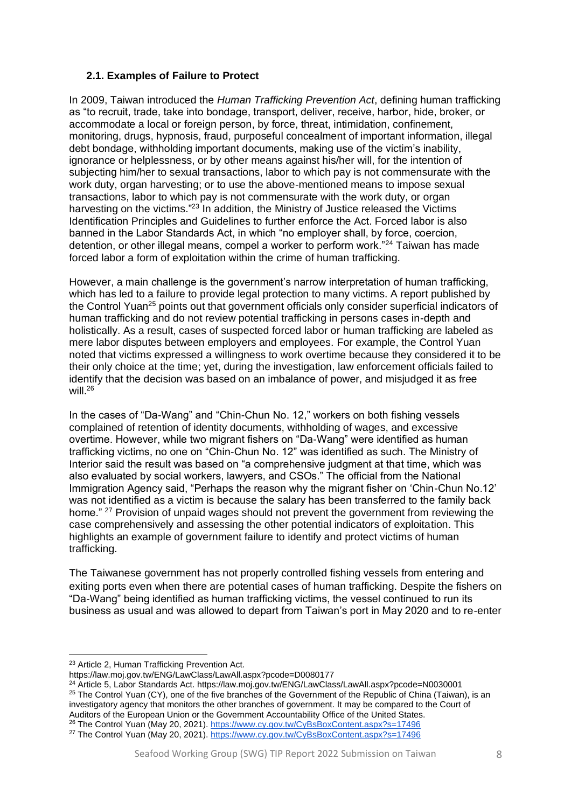#### <span id="page-7-0"></span>**2.1. Examples of Failure to Protect**

In 2009, Taiwan introduced the *Human Trafficking Prevention Act*, defining human trafficking as "to recruit, trade, take into bondage, transport, deliver, receive, harbor, hide, broker, or accommodate a local or foreign person, by force, threat, intimidation, confinement. monitoring, drugs, hypnosis, fraud, purposeful concealment of important information, illegal debt bondage, withholding important documents, making use of the victim's inability, ignorance or helplessness, or by other means against his/her will, for the intention of subjecting him/her to sexual transactions, labor to which pay is not commensurate with the work duty, organ harvesting; or to use the above-mentioned means to impose sexual transactions, labor to which pay is not commensurate with the work duty, or organ harvesting on the victims."<sup>23</sup> In addition, the Ministry of Justice released the Victims Identification Principles and Guidelines to further enforce the Act. Forced labor is also banned in the Labor Standards Act, in which "no employer shall, by force, coercion, detention, or other illegal means, compel a worker to perform work."<sup>24</sup> Taiwan has made forced labor a form of exploitation within the crime of human trafficking.

However, a main challenge is the government's narrow interpretation of human trafficking, which has led to a failure to provide legal protection to many victims. A report published by the Control Yuan<sup>25</sup> points out that government officials only consider superficial indicators of human trafficking and do not review potential trafficking in persons cases in-depth and holistically. As a result, cases of suspected forced labor or human trafficking are labeled as mere labor disputes between employers and employees. For example, the Control Yuan noted that victims expressed a willingness to work overtime because they considered it to be their only choice at the time; yet, during the investigation, law enforcement officials failed to identify that the decision was based on an imbalance of power, and misjudged it as free will.<sup>26</sup>

In the cases of "Da-Wang" and "Chin-Chun No. 12," workers on both fishing vessels complained of retention of identity documents, withholding of wages, and excessive overtime. However, while two migrant fishers on "Da-Wang" were identified as human trafficking victims, no one on "Chin-Chun No. 12" was identified as such. The Ministry of Interior said the result was based on "a comprehensive judgment at that time, which was also evaluated by social workers, lawyers, and CSOs." The official from the National Immigration Agency said, "Perhaps the reason why the migrant fisher on 'Chin-Chun No.12' was not identified as a victim is because the salary has been transferred to the family back home." <sup>27</sup> Provision of unpaid wages should not prevent the government from reviewing the case comprehensively and assessing the other potential indicators of exploitation. This highlights an example of government failure to identify and protect victims of human trafficking.

The Taiwanese government has not properly controlled fishing vessels from entering and exiting ports even when there are potential cases of human trafficking. Despite the fishers on "Da-Wang" being identified as human trafficking victims, the vessel continued to run its business as usual and was allowed to depart from Taiwan's port in May 2020 and to re-enter

<sup>23</sup> Article 2, Human Trafficking Prevention Act.

https://law.moj.gov.tw/ENG/LawClass/LawAll.aspx?pcode=D0080177

<sup>24</sup> Article 5, Labor Standards Act. https://law.moj.gov.tw/ENG/LawClass/LawAll.aspx?pcode=N0030001

<sup>&</sup>lt;sup>25</sup> The Control Yuan (CY), one of the five branches of the Government of the Republic of China (Taiwan), is an investigatory agency that monitors the other branches of government. It may be compared to the Court of Auditors of the European Union or the Government Accountability Office of the United States.

<sup>&</sup>lt;sup>26</sup> The Control Yuan (May 20, 2021).<https://www.cy.gov.tw/CyBsBoxContent.aspx?s=17496>

<sup>27</sup> The Control Yuan (May 20, 2021).<https://www.cy.gov.tw/CyBsBoxContent.aspx?s=17496>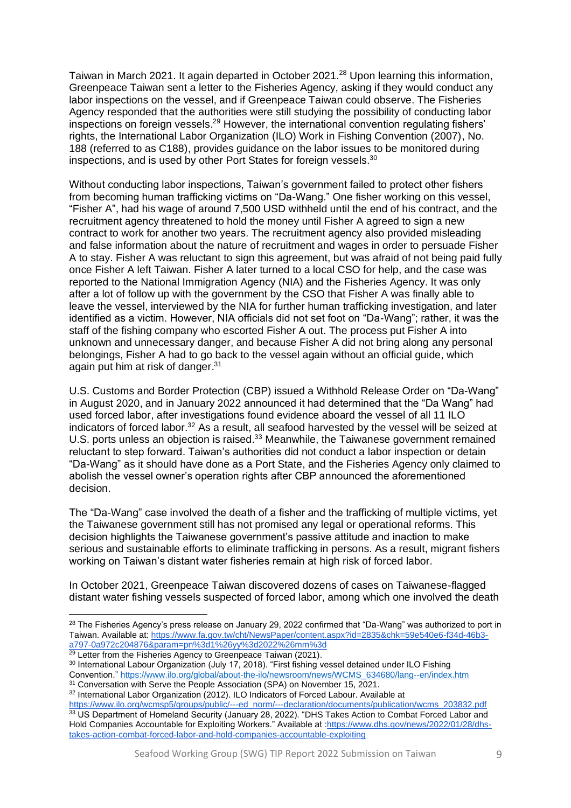Taiwan in March 2021. It again departed in October 2021.<sup>28</sup> Upon learning this information, Greenpeace Taiwan sent a letter to the Fisheries Agency, asking if they would conduct any labor inspections on the vessel, and if Greenpeace Taiwan could observe. The Fisheries Agency responded that the authorities were still studying the possibility of conducting labor inspections on foreign vessels.<sup>29</sup> However, the international convention regulating fishers' rights, the International Labor Organization (ILO) Work in Fishing Convention (2007), No. 188 (referred to as C188), provides guidance on the labor issues to be monitored during inspections, and is used by other Port States for foreign vessels.<sup>30</sup>

Without conducting labor inspections, Taiwan's government failed to protect other fishers from becoming human trafficking victims on "Da-Wang." One fisher working on this vessel, "Fisher A", had his wage of around 7,500 USD withheld until the end of his contract, and the recruitment agency threatened to hold the money until Fisher A agreed to sign a new contract to work for another two years. The recruitment agency also provided misleading and false information about the nature of recruitment and wages in order to persuade Fisher A to stay. Fisher A was reluctant to sign this agreement, but was afraid of not being paid fully once Fisher A left Taiwan. Fisher A later turned to a local CSO for help, and the case was reported to the National Immigration Agency (NIA) and the Fisheries Agency. It was only after a lot of follow up with the government by the CSO that Fisher A was finally able to leave the vessel, interviewed by the NIA for further human trafficking investigation, and later identified as a victim. However, NIA officials did not set foot on "Da-Wang"; rather, it was the staff of the fishing company who escorted Fisher A out. The process put Fisher A into unknown and unnecessary danger, and because Fisher A did not bring along any personal belongings, Fisher A had to go back to the vessel again without an official guide, which again put him at risk of danger.<sup>31</sup>

U.S. Customs and Border Protection (CBP) issued a Withhold Release Order on "Da-Wang" in August 2020, and in January 2022 announced it had determined that the "Da Wang" had used forced labor, after investigations found evidence aboard the vessel of all 11 ILO indicators of forced labor.<sup>32</sup> As a result, all seafood harvested by the vessel will be seized at U.S. ports unless an objection is raised.<sup>33</sup> Meanwhile, the Taiwanese government remained reluctant to step forward. Taiwan's authorities did not conduct a labor inspection or detain "Da-Wang" as it should have done as a Port State, and the Fisheries Agency only claimed to abolish the vessel owner's operation rights after CBP announced the aforementioned decision.

The "Da-Wang" case involved the death of a fisher and the trafficking of multiple victims, yet the Taiwanese government still has not promised any legal or operational reforms. This decision highlights the Taiwanese government's passive attitude and inaction to make serious and sustainable efforts to eliminate trafficking in persons. As a result, migrant fishers working on Taiwan's distant water fisheries remain at high risk of forced labor.

In October 2021, Greenpeace Taiwan discovered dozens of cases on Taiwanese-flagged distant water fishing vessels suspected of forced labor, among which one involved the death

<sup>&</sup>lt;sup>28</sup> The Fisheries Agency's press release on January 29, 2022 confirmed that "Da-Wang" was authorized to port in Taiwan. Available at[: https://www.fa.gov.tw/cht/NewsPaper/content.aspx?id=2835&chk=59e540e6-f34d-46b3](https://www.fa.gov.tw/cht/NewsPaper/content.aspx?id=2835&chk=59e540e6-f34d-46b3-a797-0a972c204876¶m=pn%3d1%26yy%3d2022%26mm%3d) [a797-0a972c204876&param=pn%3d1%26yy%3d2022%26mm%3d](https://www.fa.gov.tw/cht/NewsPaper/content.aspx?id=2835&chk=59e540e6-f34d-46b3-a797-0a972c204876¶m=pn%3d1%26yy%3d2022%26mm%3d)

<sup>&</sup>lt;sup>29</sup> Letter from the Fisheries Agency to Greenpeace Taiwan (2021).

<sup>30</sup> International Labour Organization (July 17, 2018). "First fishing vessel detained under ILO Fishing Convention." [https://www.ilo.org/global/about-the-ilo/newsroom/news/WCMS\\_634680/lang--en/index.htm](https://www.ilo.org/global/about-the-ilo/newsroom/news/WCMS_634680/lang--en/index.htm)

<sup>&</sup>lt;sup>31</sup> Conversation with Serve the People Association (SPA) on November 15, 2021.

<sup>32</sup> International Labor Organization (2012). ILO Indicators of Forced Labour. Available at

[https://www.ilo.org/wcmsp5/groups/public/---ed\\_norm/---declaration/documents/publication/wcms\\_203832.pdf](https://www.ilo.org/wcmsp5/groups/public/---ed_norm/---declaration/documents/publication/wcms_203832.pdf) 33 US Department of Homeland Security (January 28, 2022). "DHS Takes Action to Combat Forced Labor and Hold Companies Accountable for Exploiting Workers." Available at [:https://www.dhs.gov/news/2022/01/28/dhs](https://www.dhs.gov/news/2022/01/28/dhs-takes-action-combat-forced-labor-and-hold-companies-accountable-exploiting)[takes-action-combat-forced-labor-and-hold-companies-accountable-exploiting](https://www.dhs.gov/news/2022/01/28/dhs-takes-action-combat-forced-labor-and-hold-companies-accountable-exploiting)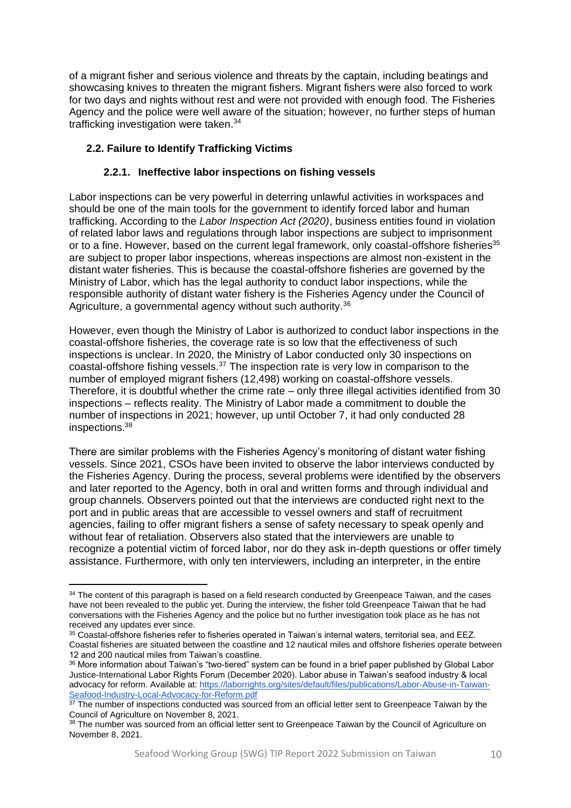of a migrant fisher and serious violence and threats by the captain, including beatings and showcasing knives to threaten the migrant fishers. Migrant fishers were also forced to work for two days and nights without rest and were not provided with enough food. The Fisheries Agency and the police were well aware of the situation; however, no further steps of human trafficking investigation were taken.<sup>34</sup>

# <span id="page-9-0"></span>**2.2. Failure to Identify Trafficking Victims**

## **2.2.1. Ineffective labor inspections on fishing vessels**

<span id="page-9-1"></span>Labor inspections can be very powerful in deterring unlawful activities in workspaces and should be one of the main tools for the government to identify forced labor and human trafficking. According to the *Labor Inspection Act (2020)*, business entities found in violation of related labor laws and regulations through labor inspections are subject to imprisonment or to a fine. However, based on the current legal framework, only coastal-offshore fisheries<sup>35</sup> are subject to proper labor inspections, whereas inspections are almost non-existent in the distant water fisheries. This is because the coastal-offshore fisheries are governed by the Ministry of Labor, which has the legal authority to conduct labor inspections, while the responsible authority of distant water fishery is the Fisheries Agency under the Council of Agriculture, a governmental agency without such authority.<sup>36</sup>

However, even though the Ministry of Labor is authorized to conduct labor inspections in the coastal-offshore fisheries, the coverage rate is so low that the effectiveness of such inspections is unclear. In 2020, the Ministry of Labor conducted only 30 inspections on coastal-offshore fishing vessels.<sup>37</sup> The inspection rate is very low in comparison to the number of employed migrant fishers (12,498) working on coastal-offshore vessels. Therefore, it is doubtful whether the crime rate – only three illegal activities identified from 30 inspections – reflects reality. The Ministry of Labor made a commitment to double the number of inspections in 2021; however, up until October 7, it had only conducted 28 inspections.<sup>38</sup>

There are similar problems with the Fisheries Agency's monitoring of distant water fishing vessels. Since 2021, CSOs have been invited to observe the labor interviews conducted by the Fisheries Agency. During the process, several problems were identified by the observers and later reported to the Agency, both in oral and written forms and through individual and group channels. Observers pointed out that the interviews are conducted right next to the port and in public areas that are accessible to vessel owners and staff of recruitment agencies, failing to offer migrant fishers a sense of safety necessary to speak openly and without fear of retaliation. Observers also stated that the interviewers are unable to recognize a potential victim of forced labor, nor do they ask in-depth questions or offer timely assistance. Furthermore, with only ten interviewers, including an interpreter, in the entire

<sup>&</sup>lt;sup>34</sup> The content of this paragraph is based on a field research conducted by Greenpeace Taiwan, and the cases have not been revealed to the public yet. During the interview, the fisher told Greenpeace Taiwan that he had conversations with the Fisheries Agency and the police but no further investigation took place as he has not received any updates ever since.

<sup>35</sup> Coastal-offshore fisheries refer to fisheries operated in Taiwan's internal waters, territorial sea, and EEZ. Coastal fisheries are situated between the coastline and 12 nautical miles and offshore fisheries operate between 12 and 200 nautical miles from Taiwan's coastline.

<sup>36</sup> More information about Taiwan's "two-tiered" system can be found in a brief paper published by Global Labor Justice-International Labor Rights Forum (December 2020). Labor abuse in Taiwan's seafood industry & local advocacy for reform. Available at: [https://laborrights.org/sites/default/files/publications/Labor-Abuse-in-Taiwan-](https://laborrights.org/sites/default/files/publications/Labor-Abuse-in-Taiwan-Seafood-Industry-Local-Advocacy-for-Reform.pdf)[Seafood-Industry-Local-Advocacy-for-Reform.pdf](https://laborrights.org/sites/default/files/publications/Labor-Abuse-in-Taiwan-Seafood-Industry-Local-Advocacy-for-Reform.pdf)

 $37$  The number of inspections conducted was sourced from an official letter sent to Greenpeace Taiwan by the Council of Agriculture on November 8, 2021.

<sup>38</sup> The number was sourced from an official letter sent to Greenpeace Taiwan by the Council of Agriculture on November 8, 2021.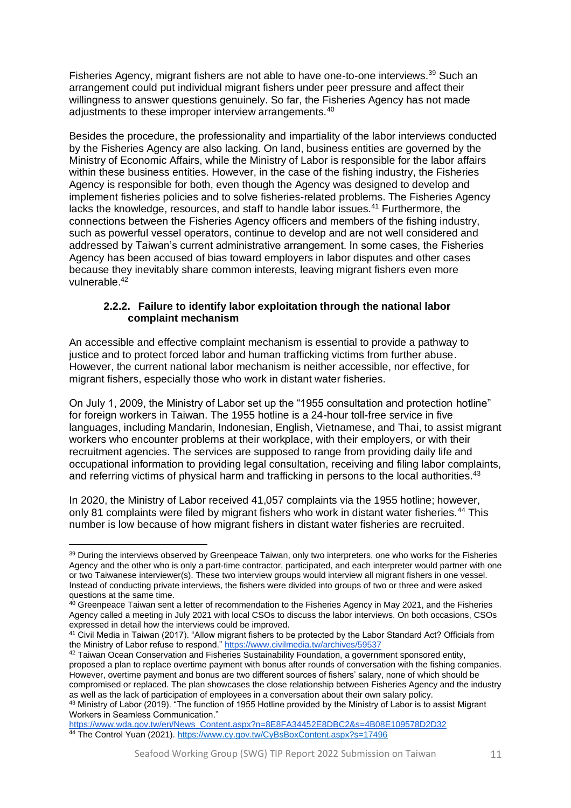Fisheries Agency, migrant fishers are not able to have one-to-one interviews.<sup>39</sup> Such an arrangement could put individual migrant fishers under peer pressure and affect their willingness to answer questions genuinely. So far, the Fisheries Agency has not made adjustments to these improper interview arrangements.<sup>40</sup>

Besides the procedure, the professionality and impartiality of the labor interviews conducted by the Fisheries Agency are also lacking. On land, business entities are governed by the Ministry of Economic Affairs, while the Ministry of Labor is responsible for the labor affairs within these business entities. However, in the case of the fishing industry, the Fisheries Agency is responsible for both, even though the Agency was designed to develop and implement fisheries policies and to solve fisheries-related problems. The Fisheries Agency lacks the knowledge, resources, and staff to handle labor issues.<sup>41</sup> Furthermore, the connections between the Fisheries Agency officers and members of the fishing industry, such as powerful vessel operators, continue to develop and are not well considered and addressed by Taiwan's current administrative arrangement. In some cases, the Fisheries Agency has been accused of bias toward employers in labor disputes and other cases because they inevitably share common interests, leaving migrant fishers even more vulnerable.<sup>42</sup>

#### **2.2.2. Failure to identify labor exploitation through the national labor complaint mechanism**

<span id="page-10-0"></span>An accessible and effective complaint mechanism is essential to provide a pathway to justice and to protect forced labor and human trafficking victims from further abuse. However, the current national labor mechanism is neither accessible, nor effective, for migrant fishers, especially those who work in distant water fisheries.

On July 1, 2009, the Ministry of Labor set up the "1955 consultation and protection hotline" for foreign workers in Taiwan. The 1955 hotline is a 24-hour toll-free service in five languages, including Mandarin, Indonesian, English, Vietnamese, and Thai, to assist migrant workers who encounter problems at their workplace, with their employers, or with their recruitment agencies. The services are supposed to range from providing daily life and occupational information to providing legal consultation, receiving and filing labor complaints, and referring victims of physical harm and trafficking in persons to the local authorities.<sup>43</sup>

In 2020, the Ministry of Labor received 41,057 complaints via the 1955 hotline; however, only 81 complaints were filed by migrant fishers who work in distant water fisheries.<sup>44</sup> This number is low because of how migrant fishers in distant water fisheries are recruited.

<sup>&</sup>lt;sup>39</sup> During the interviews observed by Greenpeace Taiwan, only two interpreters, one who works for the Fisheries Agency and the other who is only a part-time contractor, participated, and each interpreter would partner with one or two Taiwanese interviewer(s). These two interview groups would interview all migrant fishers in one vessel. Instead of conducting private interviews, the fishers were divided into groups of two or three and were asked questions at the same time.

<sup>&</sup>lt;sup>40</sup> Greenpeace Taiwan sent a letter of recommendation to the Fisheries Agency in May 2021, and the Fisheries Agency called a meeting in July 2021 with local CSOs to discuss the labor interviews. On both occasions, CSOs expressed in detail how the interviews could be improved.

<sup>41</sup> Civil Media in Taiwan (2017). "Allow migrant fishers to be protected by the Labor Standard Act? Officials from the Ministry of Labor refuse to respond."<https://www.civilmedia.tw/archives/59537>

<sup>&</sup>lt;sup>42</sup> Taiwan Ocean Conservation and Fisheries Sustainability Foundation, a government sponsored entity, proposed a plan to replace overtime payment with bonus after rounds of conversation with the fishing companies. However, overtime payment and bonus are two different sources of fishers' salary, none of which should be compromised or replaced. The plan showcases the close relationship between Fisheries Agency and the industry as well as the lack of participation of employees in a conversation about their own salary policy. 43 Ministry of Labor (2019). "The function of 1955 Hotline provided by the Ministry of Labor is to assist Migrant Workers in Seamless Communication."

[https://www.wda.gov.tw/en/News\\_Content.aspx?n=8E8FA34452E8DBC2&s=4B08E109578D2D32](https://www.wda.gov.tw/en/News_Content.aspx?n=8E8FA34452E8DBC2&s=4B08E109578D2D32) <sup>44</sup> The Control Yuan (2021).<https://www.cy.gov.tw/CyBsBoxContent.aspx?s=17496>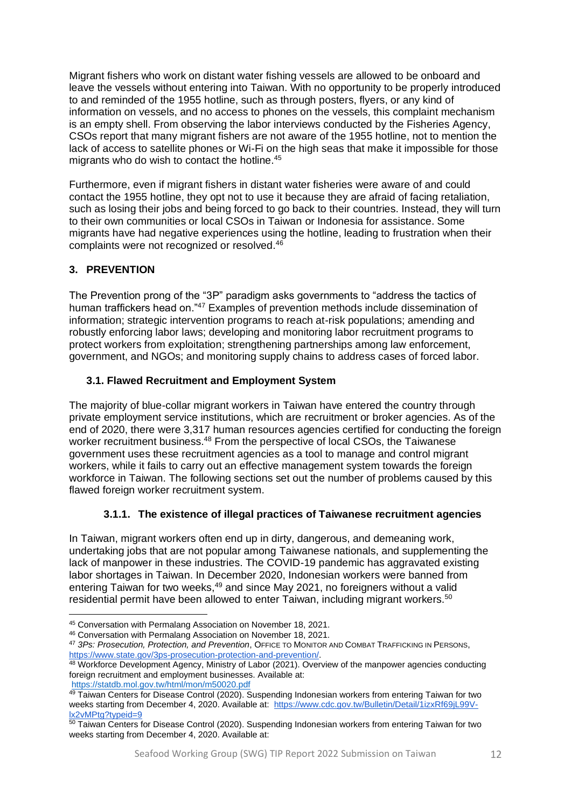Migrant fishers who work on distant water fishing vessels are allowed to be onboard and leave the vessels without entering into Taiwan. With no opportunity to be properly introduced to and reminded of the 1955 hotline, such as through posters, flyers, or any kind of information on vessels, and no access to phones on the vessels, this complaint mechanism is an empty shell. From observing the labor interviews conducted by the Fisheries Agency, CSOs report that many migrant fishers are not aware of the 1955 hotline, not to mention the lack of access to satellite phones or Wi-Fi on the high seas that make it impossible for those migrants who do wish to contact the hotline. 45

Furthermore, even if migrant fishers in distant water fisheries were aware of and could contact the 1955 hotline, they opt not to use it because they are afraid of facing retaliation, such as losing their jobs and being forced to go back to their countries. Instead, they will turn to their own communities or local CSOs in Taiwan or Indonesia for assistance. Some migrants have had negative experiences using the hotline, leading to frustration when their complaints were not recognized or resolved.<sup>46</sup>

# <span id="page-11-0"></span>**3. PREVENTION**

The Prevention prong of the "3P" paradigm asks governments to "address the tactics of human traffickers head on."<sup>47</sup> Examples of prevention methods include dissemination of information; strategic intervention programs to reach at-risk populations; amending and robustly enforcing labor laws; developing and monitoring labor recruitment programs to protect workers from exploitation; strengthening partnerships among law enforcement, government, and NGOs; and monitoring supply chains to address cases of forced labor.

## <span id="page-11-1"></span>**3.1. Flawed Recruitment and Employment System**

The majority of blue-collar migrant workers in Taiwan have entered the country through private employment service institutions, which are recruitment or broker agencies. As of the end of 2020, there were 3,317 human resources agencies certified for conducting the foreign worker recruitment business.<sup>48</sup> From the perspective of local CSOs, the Taiwanese government uses these recruitment agencies as a tool to manage and control migrant workers, while it fails to carry out an effective management system towards the foreign workforce in Taiwan. The following sections set out the number of problems caused by this flawed foreign worker recruitment system.

## **3.1.1. The existence of illegal practices of Taiwanese recruitment agencies**

<span id="page-11-2"></span>In Taiwan, migrant workers often end up in dirty, dangerous, and demeaning work, undertaking jobs that are not popular among Taiwanese nationals, and supplementing the lack of manpower in these industries. The COVID-19 pandemic has aggravated existing labor shortages in Taiwan. In December 2020, Indonesian workers were banned from entering Taiwan for two weeks,<sup>49</sup> and since May 2021, no foreigners without a valid residential permit have been allowed to enter Taiwan, including migrant workers.<sup>50</sup>

<sup>45</sup> Conversation with Permalang Association on November 18, 2021.

<sup>46</sup> Conversation with Permalang Association on November 18, 2021.

<sup>47</sup> *3Ps: Prosecution, Protection, and Prevention*, OFFICE TO MONITOR AND COMBAT TRAFFICKING IN PERSONS, [https://www.state.gov/3ps-prosecution-protection-and-prevention/.](https://www.state.gov/3ps-prosecution-protection-and-prevention/)

<sup>&</sup>lt;sup>48</sup> Workforce Development Agency, Ministry of Labor (2021). Overview of the manpower agencies conducting foreign recruitment and employment businesses. Available at:

<https://statdb.mol.gov.tw/html/mon/m50020.pdf>

<sup>&</sup>lt;sup>49</sup> Taiwan Centers for Disease Control (2020). Suspending Indonesian workers from entering Taiwan for two weeks starting from December 4, 2020. Available at: [https://www.cdc.gov.tw/Bulletin/Detail/1izxRf69jL99V](https://www.cdc.gov.tw/Bulletin/Detail/1izxRf69jL99V-lx2vMPtg?typeid=9)[lx2vMPtg?typeid=9](https://www.cdc.gov.tw/Bulletin/Detail/1izxRf69jL99V-lx2vMPtg?typeid=9)

<sup>50</sup> Taiwan Centers for Disease Control (2020). Suspending Indonesian workers from entering Taiwan for two weeks starting from December 4, 2020. Available at: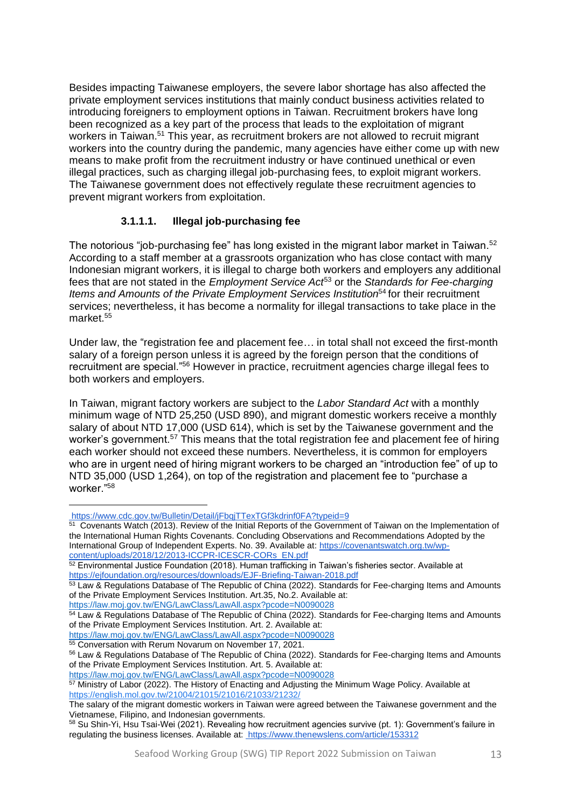Besides impacting Taiwanese employers, the severe labor shortage has also affected the private employment services institutions that mainly conduct business activities related to introducing foreigners to employment options in Taiwan. Recruitment brokers have long been recognized as a key part of the process that leads to the exploitation of migrant workers in Taiwan.<sup>51</sup> This year, as recruitment brokers are not allowed to recruit migrant workers into the country during the pandemic, many agencies have either come up with new means to make profit from the recruitment industry or have continued unethical or even illegal practices, such as charging illegal job-purchasing fees, to exploit migrant workers. The Taiwanese government does not effectively regulate these recruitment agencies to prevent migrant workers from exploitation.

# **3.1.1.1. Illegal job-purchasing fee**

The notorious "job-purchasing fee" has long existed in the migrant labor market in Taiwan.<sup>52</sup> According to a staff member at a grassroots organization who has close contact with many Indonesian migrant workers, it is illegal to charge both workers and employers any additional fees that are not stated in the *Employment Service Act*<sup>53</sup> or the *Standards for Fee-charging Items and Amounts of the Private Employment Services Institution*<sup>54</sup> for their recruitment services; nevertheless, it has become a normality for illegal transactions to take place in the market.<sup>55</sup>

Under law, the "registration fee and placement fee… in total shall not exceed the first-month salary of a foreign person unless it is agreed by the foreign person that the conditions of recruitment are special."<sup>56</sup> However in practice, recruitment agencies charge illegal fees to both workers and employers.

In Taiwan, migrant factory workers are subject to the *Labor Standard Act* with a monthly minimum wage of NTD 25,250 (USD 890), and migrant domestic workers receive a monthly salary of about NTD 17,000 (USD 614), which is set by the Taiwanese government and the worker's government.<sup>57</sup> This means that the total registration fee and placement fee of hiring each worker should not exceed these numbers. Nevertheless, it is common for employers who are in urgent need of hiring migrant workers to be charged an "introduction fee" of up to NTD 35,000 (USD 1,264), on top of the registration and placement fee to "purchase a worker."<sup>58</sup>

55 Conversation with Rerum Novarum on November 17, 2021.

<https://www.cdc.gov.tw/Bulletin/Detail/jFbqjTTexTGf3kdrinf0FA?typeid=9>

<sup>&</sup>lt;sup>51</sup> Covenants Watch (2013). Review of the Initial Reports of the Government of Taiwan on the Implementation of the International Human Rights Covenants. Concluding Observations and Recommendations Adopted by the International Group of Independent Experts. No. 39. Available at[: https://covenantswatch.org.tw/wp](https://covenantswatch.org.tw/wp-content/uploads/2018/12/2013-ICCPR-ICESCR-CORs_EN.pdf)[content/uploads/2018/12/2013-ICCPR-ICESCR-CORs\\_EN.pdf](https://covenantswatch.org.tw/wp-content/uploads/2018/12/2013-ICCPR-ICESCR-CORs_EN.pdf)

 $52$  Environmental Justice Foundation (2018). Human trafficking in Taiwan's fisheries sector. Available at <https://ejfoundation.org/resources/downloads/EJF-Briefing-Taiwan-2018.pdf>

<sup>53</sup> Law & Regulations Database of The Republic of China (2022). Standards for Fee-charging Items and Amounts of the Private Employment Services Institution. Art.35, No.2. Available at:

<https://law.moj.gov.tw/ENG/LawClass/LawAll.aspx?pcode=N0090028>

<sup>&</sup>lt;sup>54</sup> Law & Regulations Database of The Republic of China (2022). Standards for Fee-charging Items and Amounts of the Private Employment Services Institution. Art. 2. Available at: <https://law.moj.gov.tw/ENG/LawClass/LawAll.aspx?pcode=N0090028>

<sup>56</sup> Law & Regulations Database of The Republic of China (2022). Standards for Fee-charging Items and Amounts of the Private Employment Services Institution. Art. 5. Available at:

<https://law.moj.gov.tw/ENG/LawClass/LawAll.aspx?pcode=N0090028>

<sup>&</sup>lt;sup>57</sup> Ministry of Labor (2022). The History of Enacting and Adjusting the Minimum Wage Policy. Available at <https://english.mol.gov.tw/21004/21015/21016/21033/21232/>

The salary of the migrant domestic workers in Taiwan were agreed between the Taiwanese government and the Vietnamese, Filipino, and Indonesian governments.

<sup>58</sup> Su Shin-Yi, Hsu Tsai-Wei (2021). Revealing how recruitment agencies survive (pt. 1): Government's failure in regulating the business licenses. Available at:<https://www.thenewslens.com/article/153312>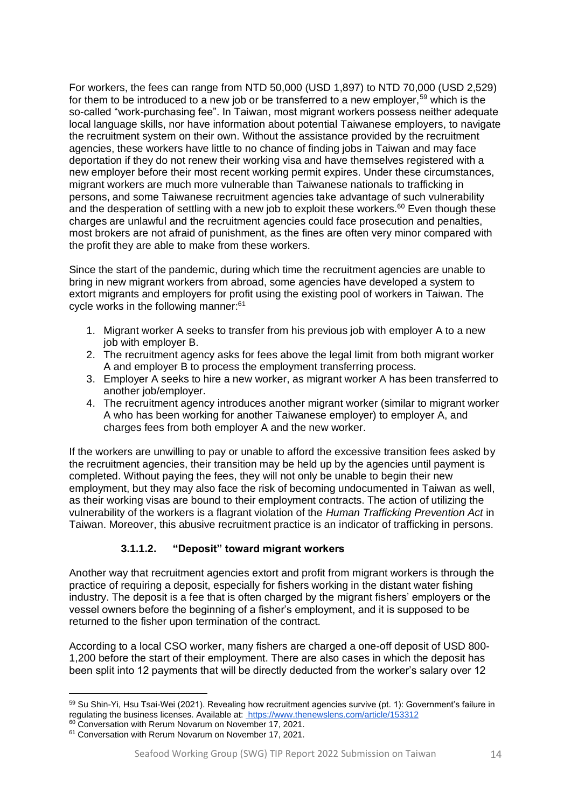For workers, the fees can range from NTD 50,000 (USD 1,897) to NTD 70,000 (USD 2,529) for them to be introduced to a new job or be transferred to a new employer,<sup>59</sup> which is the so-called "work-purchasing fee". In Taiwan, most migrant workers possess neither adequate local language skills, nor have information about potential Taiwanese employers, to navigate the recruitment system on their own. Without the assistance provided by the recruitment agencies, these workers have little to no chance of finding jobs in Taiwan and may face deportation if they do not renew their working visa and have themselves registered with a new employer before their most recent working permit expires. Under these circumstances, migrant workers are much more vulnerable than Taiwanese nationals to trafficking in persons, and some Taiwanese recruitment agencies take advantage of such vulnerability and the desperation of settling with a new job to exploit these workers.<sup>60</sup> Even though these charges are unlawful and the recruitment agencies could face prosecution and penalties, most brokers are not afraid of punishment, as the fines are often very minor compared with the profit they are able to make from these workers.

Since the start of the pandemic, during which time the recruitment agencies are unable to bring in new migrant workers from abroad, some agencies have developed a system to extort migrants and employers for profit using the existing pool of workers in Taiwan. The cycle works in the following manner:<sup>61</sup>

- 1. Migrant worker A seeks to transfer from his previous job with employer A to a new job with employer B.
- 2. The recruitment agency asks for fees above the legal limit from both migrant worker A and employer B to process the employment transferring process.
- 3. Employer A seeks to hire a new worker, as migrant worker A has been transferred to another job/employer.
- 4. The recruitment agency introduces another migrant worker (similar to migrant worker A who has been working for another Taiwanese employer) to employer A, and charges fees from both employer A and the new worker.

If the workers are unwilling to pay or unable to afford the excessive transition fees asked by the recruitment agencies, their transition may be held up by the agencies until payment is completed. Without paying the fees, they will not only be unable to begin their new employment, but they may also face the risk of becoming undocumented in Taiwan as well, as their working visas are bound to their employment contracts. The action of utilizing the vulnerability of the workers is a flagrant violation of the *Human Trafficking Prevention Act* in Taiwan. Moreover, this abusive recruitment practice is an indicator of trafficking in persons.

## **3.1.1.2. "Deposit" toward migrant workers**

Another way that recruitment agencies extort and profit from migrant workers is through the practice of requiring a deposit, especially for fishers working in the distant water fishing industry. The deposit is a fee that is often charged by the migrant fishers' employers or the vessel owners before the beginning of a fisher's employment, and it is supposed to be returned to the fisher upon termination of the contract.

According to a local CSO worker, many fishers are charged a one-off deposit of USD 800- 1,200 before the start of their employment. There are also cases in which the deposit has been split into 12 payments that will be directly deducted from the worker's salary over 12

<sup>59</sup> Su Shin-Yi, Hsu Tsai-Wei (2021). Revealing how recruitment agencies survive (pt. 1): Government's failure in regulating the business licenses. Available at:<https://www.thenewslens.com/article/153312>

<sup>&</sup>lt;sup>60</sup> Conversation with Rerum Novarum on November 17, 2021.

<sup>&</sup>lt;sup>61</sup> Conversation with Rerum Novarum on November 17, 2021.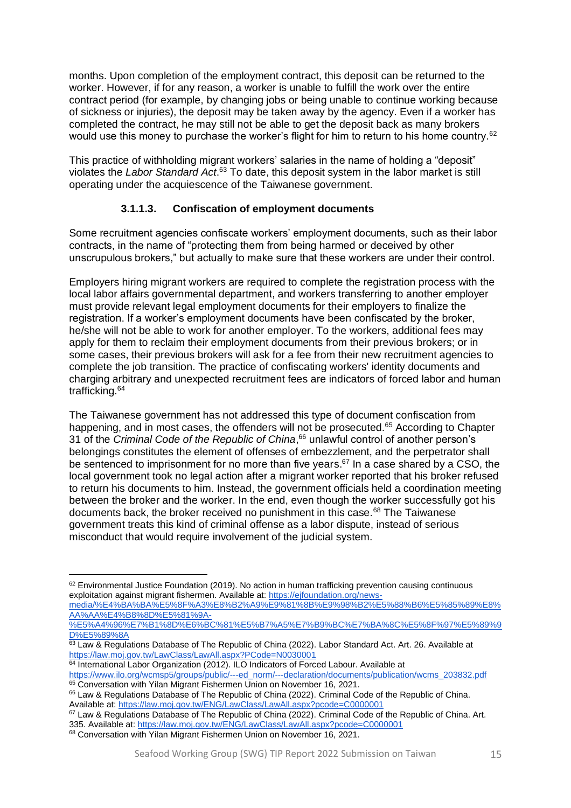months. Upon completion of the employment contract, this deposit can be returned to the worker. However, if for any reason, a worker is unable to fulfill the work over the entire contract period (for example, by changing jobs or being unable to continue working because of sickness or injuries), the deposit may be taken away by the agency. Even if a worker has completed the contract, he may still not be able to get the deposit back as many brokers would use this money to purchase the worker's flight for him to return to his home country.<sup>62</sup>

This practice of withholding migrant workers' salaries in the name of holding a "deposit" violates the *Labor Standard Act*. <sup>63</sup> To date, this deposit system in the labor market is still operating under the acquiescence of the Taiwanese government.

# **3.1.1.3. Confiscation of employment documents**

Some recruitment agencies confiscate workers' employment documents, such as their labor contracts, in the name of "protecting them from being harmed or deceived by other unscrupulous brokers," but actually to make sure that these workers are under their control.

Employers hiring migrant workers are required to complete the registration process with the local labor affairs governmental department, and workers transferring to another employer must provide relevant legal employment documents for their employers to finalize the registration. If a worker's employment documents have been confiscated by the broker, he/she will not be able to work for another employer. To the workers, additional fees may apply for them to reclaim their employment documents from their previous brokers; or in some cases, their previous brokers will ask for a fee from their new recruitment agencies to complete the job transition. The practice of confiscating workers' identity documents and charging arbitrary and unexpected recruitment fees are indicators of forced labor and human trafficking.<sup>64</sup>

The Taiwanese government has not addressed this type of document confiscation from happening, and in most cases, the offenders will not be prosecuted.<sup>65</sup> According to Chapter 31 of the *Criminal Code of the Republic of China*, <sup>66</sup> unlawful control of another person's belongings constitutes the element of offenses of embezzlement, and the perpetrator shall be sentenced to imprisonment for no more than five years.<sup>67</sup> In a case shared by a CSO, the local government took no legal action after a migrant worker reported that his broker refused to return his documents to him. Instead, the government officials held a coordination meeting between the broker and the worker. In the end, even though the worker successfully got his documents back, the broker received no punishment in this case.<sup>68</sup> The Taiwanese government treats this kind of criminal offense as a labor dispute, instead of serious misconduct that would require involvement of the judicial system.

<sup>&</sup>lt;sup>62</sup> Environmental Justice Foundation (2019). No action in human trafficking prevention causing continuous exploitation against migrant fishermen. Available at: [https://ejfoundation.org/news-](https://ejfoundation.org/news-media/%E4%BA%BA%E5%8F%A3%E8%B2%A9%E9%81%8B%E9%98%B2%E5%88%B6%E5%85%89%E8%AA%AA%E4%B8%8D%E5%81%9A-%E5%A4%96%E7%B1%8D%E6%BC%81%E5%B7%A5%E7%B9%BC%E7%BA%8C%E5%8F%97%E5%89%9D%E5%89%8A)

[media/%E4%BA%BA%E5%8F%A3%E8%B2%A9%E9%81%8B%E9%98%B2%E5%88%B6%E5%85%89%E8%](https://ejfoundation.org/news-media/%E4%BA%BA%E5%8F%A3%E8%B2%A9%E9%81%8B%E9%98%B2%E5%88%B6%E5%85%89%E8%AA%AA%E4%B8%8D%E5%81%9A-%E5%A4%96%E7%B1%8D%E6%BC%81%E5%B7%A5%E7%B9%BC%E7%BA%8C%E5%8F%97%E5%89%9D%E5%89%8A) [AA%AA%E4%B8%8D%E5%81%9A-](https://ejfoundation.org/news-media/%E4%BA%BA%E5%8F%A3%E8%B2%A9%E9%81%8B%E9%98%B2%E5%88%B6%E5%85%89%E8%AA%AA%E4%B8%8D%E5%81%9A-%E5%A4%96%E7%B1%8D%E6%BC%81%E5%B7%A5%E7%B9%BC%E7%BA%8C%E5%8F%97%E5%89%9D%E5%89%8A)

[<sup>%</sup>E5%A4%96%E7%B1%8D%E6%BC%81%E5%B7%A5%E7%B9%BC%E7%BA%8C%E5%8F%97%E5%89%9](https://ejfoundation.org/news-media/%E4%BA%BA%E5%8F%A3%E8%B2%A9%E9%81%8B%E9%98%B2%E5%88%B6%E5%85%89%E8%AA%AA%E4%B8%8D%E5%81%9A-%E5%A4%96%E7%B1%8D%E6%BC%81%E5%B7%A5%E7%B9%BC%E7%BA%8C%E5%8F%97%E5%89%9D%E5%89%8A) [D%E5%89%8A](https://ejfoundation.org/news-media/%E4%BA%BA%E5%8F%A3%E8%B2%A9%E9%81%8B%E9%98%B2%E5%88%B6%E5%85%89%E8%AA%AA%E4%B8%8D%E5%81%9A-%E5%A4%96%E7%B1%8D%E6%BC%81%E5%B7%A5%E7%B9%BC%E7%BA%8C%E5%8F%97%E5%89%9D%E5%89%8A)

<sup>63</sup> Law & Regulations Database of The Republic of China (2022). Labor Standard Act. Art. 26. Available at <https://law.moj.gov.tw/LawClass/LawAll.aspx?PCode=N0030001>

<sup>64</sup> International Labor Organization (2012). ILO Indicators of Forced Labour. Available at [https://www.ilo.org/wcmsp5/groups/public/---ed\\_norm/---declaration/documents/publication/wcms\\_203832.pdf](https://www.ilo.org/wcmsp5/groups/public/---ed_norm/---declaration/documents/publication/wcms_203832.pdf) 65 Conversation with Yilan Migrant Fishermen Union on November 16, 2021.

<sup>66</sup> Law & Regulations Database of The Republic of China (2022). Criminal Code of the Republic of China. Available at[: https://law.moj.gov.tw/ENG/LawClass/LawAll.aspx?pcode=C0000001](https://law.moj.gov.tw/ENG/LawClass/LawAll.aspx?pcode=C0000001)

<sup>&</sup>lt;sup>67</sup> Law & Regulations Database of The Republic of China (2022). Criminal Code of the Republic of China. Art. 335. Available at[: https://law.moj.gov.tw/ENG/LawClass/LawAll.aspx?pcode=C0000001](https://law.moj.gov.tw/ENG/LawClass/LawAll.aspx?pcode=C0000001) 68 Conversation with Yilan Migrant Fishermen Union on November 16, 2021.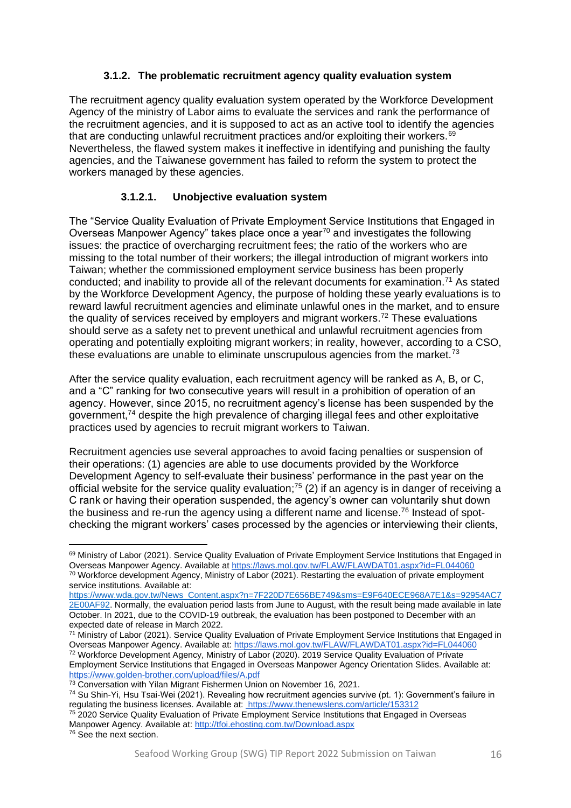## **3.1.2. The problematic recruitment agency quality evaluation system**

<span id="page-15-0"></span>The recruitment agency quality evaluation system operated by the Workforce Development Agency of the ministry of Labor aims to evaluate the services and rank the performance of the recruitment agencies, and it is supposed to act as an active tool to identify the agencies that are conducting unlawful recruitment practices and/or exploiting their workers. $69$ Nevertheless, the flawed system makes it ineffective in identifying and punishing the faulty agencies, and the Taiwanese government has failed to reform the system to protect the workers managed by these agencies.

# **3.1.2.1. Unobjective evaluation system**

The "Service Quality Evaluation of Private Employment Service Institutions that Engaged in Overseas Manpower Agency" takes place once a year<sup>70</sup> and investigates the following issues: the practice of overcharging recruitment fees; the ratio of the workers who are missing to the total number of their workers; the illegal introduction of migrant workers into Taiwan; whether the commissioned employment service business has been properly conducted; and inability to provide all of the relevant documents for examination.<sup>71</sup> As stated by the Workforce Development Agency, the purpose of holding these yearly evaluations is to reward lawful recruitment agencies and eliminate unlawful ones in the market, and to ensure the quality of services received by employers and migrant workers.<sup>72</sup> These evaluations should serve as a safety net to prevent unethical and unlawful recruitment agencies from operating and potentially exploiting migrant workers; in reality, however, according to a CSO, these evaluations are unable to eliminate unscrupulous agencies from the market. $73$ 

After the service quality evaluation, each recruitment agency will be ranked as A, B, or C, and a "C" ranking for two consecutive years will result in a prohibition of operation of an agency. However, since 2015, no recruitment agency's license has been suspended by the government,<sup>74</sup> despite the high prevalence of charging illegal fees and other exploitative practices used by agencies to recruit migrant workers to Taiwan.

Recruitment agencies use several approaches to avoid facing penalties or suspension of their operations: (1) agencies are able to use documents provided by the Workforce Development Agency to self-evaluate their business' performance in the past year on the official website for the service quality evaluation;<sup>75</sup> (2) if an agency is in danger of receiving a C rank or having their operation suspended, the agency's owner can voluntarily shut down the business and re-run the agency using a different name and license.<sup>76</sup> Instead of spotchecking the migrant workers' cases processed by the agencies or interviewing their clients,

<sup>69</sup> Ministry of Labor (2021). Service Quality Evaluation of Private Employment Service Institutions that Engaged in Overseas Manpower Agency. Available a[t https://laws.mol.gov.tw/FLAW/FLAWDAT01.aspx?id=FL044060](https://laws.mol.gov.tw/FLAW/FLAWDAT01.aspx?id=FL044060)

<sup>70</sup> Workforce development Agency, Ministry of Labor (2021). Restarting the evaluation of private employment service institutions. Available at:

[https://www.wda.gov.tw/News\\_Content.aspx?n=7F220D7E656BE749&sms=E9F640ECE968A7E1&s=92954AC7](https://www.wda.gov.tw/News_Content.aspx?n=7F220D7E656BE749&sms=E9F640ECE968A7E1&s=92954AC72E00AF92) [2E00AF92.](https://www.wda.gov.tw/News_Content.aspx?n=7F220D7E656BE749&sms=E9F640ECE968A7E1&s=92954AC72E00AF92) Normally, the evaluation period lasts from June to August, with the result being made available in late October. In 2021, due to the COVID-19 outbreak, the evaluation has been postponed to December with an expected date of release in March 2022.

<sup>&</sup>lt;sup>71</sup> Ministry of Labor (2021). Service Quality Evaluation of Private Employment Service Institutions that Engaged in Overseas Manpower Agency. Available at:<https://laws.mol.gov.tw/FLAW/FLAWDAT01.aspx?id=FL044060>

<sup>72</sup> Workforce Development Agency, Ministry of Labor (2020). 2019 Service Quality Evaluation of Private Employment Service Institutions that Engaged in Overseas Manpower Agency Orientation Slides. Available at: <https://www.golden-brother.com/upload/files/A.pdf>

<sup>&</sup>lt;sup>73</sup> Conversation with Yilan Migrant Fishermen Union on November 16, 2021.

<sup>74</sup> Su Shin-Yi, Hsu Tsai-Wei (2021). Revealing how recruitment agencies survive (pt. 1): Government's failure in regulating the business licenses. Available at:<https://www.thenewslens.com/article/153312>

<sup>75</sup> 2020 Service Quality Evaluation of Private Employment Service Institutions that Engaged in Overseas Manpower Agency. Available at: <http://tfoi.ehosting.com.tw/Download.aspx> <sup>76</sup> See the next section.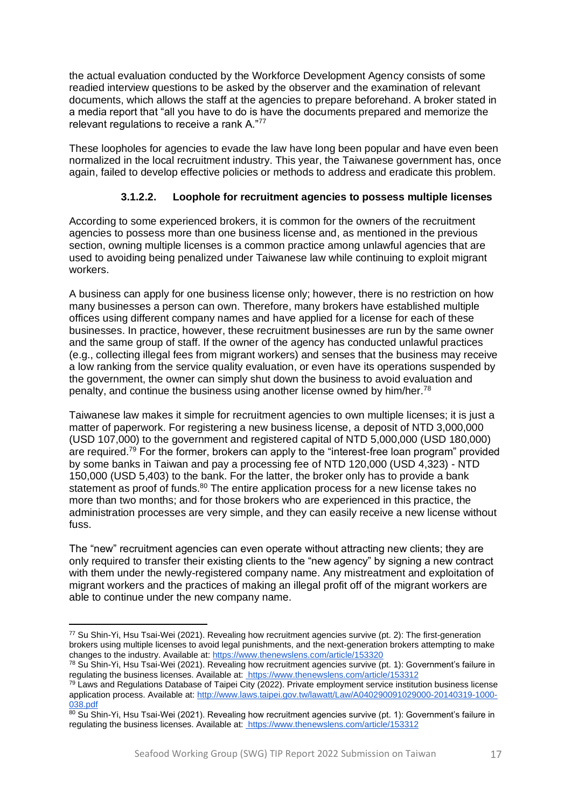the actual evaluation conducted by the Workforce Development Agency consists of some readied interview questions to be asked by the observer and the examination of relevant documents, which allows the staff at the agencies to prepare beforehand. A broker stated in a media report that "all you have to do is have the documents prepared and memorize the relevant regulations to receive a rank A."77

These loopholes for agencies to evade the law have long been popular and have even been normalized in the local recruitment industry. This year, the Taiwanese government has, once again, failed to develop effective policies or methods to address and eradicate this problem.

## **3.1.2.2. Loophole for recruitment agencies to possess multiple licenses**

According to some experienced brokers, it is common for the owners of the recruitment agencies to possess more than one business license and, as mentioned in the previous section, owning multiple licenses is a common practice among unlawful agencies that are used to avoiding being penalized under Taiwanese law while continuing to exploit migrant workers.

A business can apply for one business license only; however, there is no restriction on how many businesses a person can own. Therefore, many brokers have established multiple offices using different company names and have applied for a license for each of these businesses. In practice, however, these recruitment businesses are run by the same owner and the same group of staff. If the owner of the agency has conducted unlawful practices (e.g., collecting illegal fees from migrant workers) and senses that the business may receive a low ranking from the service quality evaluation, or even have its operations suspended by the government, the owner can simply shut down the business to avoid evaluation and penalty, and continue the business using another license owned by  $him/her.^{78}$ 

Taiwanese law makes it simple for recruitment agencies to own multiple licenses; it is just a matter of paperwork. For registering a new business license, a deposit of NTD 3,000,000 (USD 107,000) to the government and registered capital of NTD 5,000,000 (USD 180,000) are required.<sup>79</sup> For the former, brokers can apply to the "interest-free loan program" provided by some banks in Taiwan and pay a processing fee of NTD 120,000 (USD 4,323) - NTD 150,000 (USD 5,403) to the bank. For the latter, the broker only has to provide a bank statement as proof of funds.<sup>80</sup> The entire application process for a new license takes no more than two months; and for those brokers who are experienced in this practice, the administration processes are very simple, and they can easily receive a new license without fuss.

The "new" recruitment agencies can even operate without attracting new clients; they are only required to transfer their existing clients to the "new agency" by signing a new contract with them under the newly-registered company name. Any mistreatment and exploitation of migrant workers and the practices of making an illegal profit off of the migrant workers are able to continue under the new company name.

<sup>77</sup> Su Shin-Yi, Hsu Tsai-Wei (2021). Revealing how recruitment agencies survive (pt. 2): The first-generation brokers using multiple licenses to avoid legal punishments, and the next-generation brokers attempting to make changes to the industry. Available at[: https://www.thenewslens.com/article/153320](https://www.thenewslens.com/article/153320)

<sup>78</sup> Su Shin-Yi, Hsu Tsai-Wei (2021). Revealing how recruitment agencies survive (pt. 1): Government's failure in regulating the business licenses. Available a[t:](https://www.thenewslens.com/article/153312) <https://www.thenewslens.com/article/153312>

 $79$  Laws and Regulations Database of Taipei City (2022). Private employment service institution business license application process. Available at[: http://www.laws.taipei.gov.tw/lawatt/Law/A040290091029000-20140319-1000-](http://www.laws.taipei.gov.tw/lawatt/Law/A040290091029000-20140319-1000-038.pdf) [038.pdf](http://www.laws.taipei.gov.tw/lawatt/Law/A040290091029000-20140319-1000-038.pdf)

 $80$  Su Shin-Yi, Hsu Tsai-Wei (2021). Revealing how recruitment agencies survive (pt. 1): Government's failure in regulating the business licenses. Available a[t:](https://www.thenewslens.com/article/153312) <https://www.thenewslens.com/article/153312>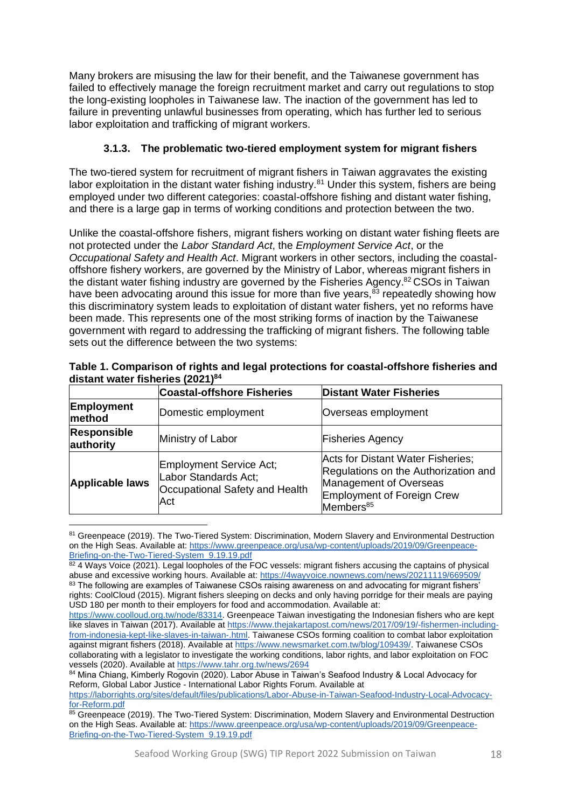Many brokers are misusing the law for their benefit, and the Taiwanese government has failed to effectively manage the foreign recruitment market and carry out regulations to stop the long-existing loopholes in Taiwanese law. The inaction of the government has led to failure in preventing unlawful businesses from operating, which has further led to serious labor exploitation and trafficking of migrant workers.

# <span id="page-17-0"></span>**3.1.3. The problematic two-tiered employment system for migrant fishers**

The two-tiered system for recruitment of migrant fishers in Taiwan aggravates the existing labor exploitation in the distant water fishing industry.<sup>81</sup> Under this system, fishers are being employed under two different categories: coastal-offshore fishing and distant water fishing, and there is a large gap in terms of working conditions and protection between the two.

Unlike the coastal-offshore fishers, migrant fishers working on distant water fishing fleets are not protected under the *Labor Standard Act*, the *Employment Service Act*, or the *Occupational Safety and Health Act*. Migrant workers in other sectors, including the coastaloffshore fishery workers, are governed by the Ministry of Labor, whereas migrant fishers in the distant water fishing industry are governed by the Fisheries Agency.<sup>82</sup> CSOs in Taiwan have been advocating around this issue for more than five years, $83$  repeatedly showing how this discriminatory system leads to exploitation of distant water fishers, yet no reforms have been made. This represents one of the most striking forms of inaction by the Taiwanese government with regard to addressing the trafficking of migrant fishers. The following table sets out the difference between the two systems:

|                                 | <b>Coastal-offshore Fisheries</b>                                                        | <b>Distant Water Fisheries</b>                                                                                                                             |  |
|---------------------------------|------------------------------------------------------------------------------------------|------------------------------------------------------------------------------------------------------------------------------------------------------------|--|
| <b>Employment</b><br>method     | Domestic employment                                                                      | Overseas employment                                                                                                                                        |  |
| <b>Responsible</b><br>authority | Ministry of Labor                                                                        | <b>Fisheries Agency</b>                                                                                                                                    |  |
| <b>Applicable laws</b>          | Employment Service Act;<br>Labor Standards Act;<br>Occupational Safety and Health<br>Act | Acts for Distant Water Fisheries;<br>Regulations on the Authorization and<br>Management of Overseas<br>Employment of Foreign Crew<br>Members <sup>85</sup> |  |

**Table 1. Comparison of rights and legal protections for coastal-offshore fisheries and distant water fisheries (2021)<sup>84</sup>**

<sup>81</sup> Greenpeace (2019). The Two-Tiered System: Discrimination, Modern Slavery and Environmental Destruction on the High Seas. Available at[: https://www.greenpeace.org/usa/wp-content/uploads/2019/09/Greenpeace-](https://www.greenpeace.org/usa/wp-content/uploads/2019/09/Greenpeace-Briefing-on-the-Two-Tiered-System_9.19.19.pdf)[Briefing-on-the-Two-Tiered-System\\_9.19.19.pdf](https://www.greenpeace.org/usa/wp-content/uploads/2019/09/Greenpeace-Briefing-on-the-Two-Tiered-System_9.19.19.pdf)

 $82$  4 Ways Voice (2021). Legal loopholes of the FOC vessels: migrant fishers accusing the captains of physical abuse and excessive working hours. Available at:<https://4wayvoice.nownews.com/news/20211119/669509/> 83 The following are examples of Taiwanese CSOs raising awareness on and advocating for migrant fishers' rights: CoolCloud (2015). Migrant fishers sleeping on decks and only having porridge for their meals are paying USD 180 per month to their employers for food and accommodation. Available at:

[https://www.coolloud.org.tw/node/83314.](https://www.coolloud.org.tw/node/83314) Greenpeace Taiwan investigating the Indonesian fishers who are kept like slaves in Taiwan (2017). Available at [https://www.thejakartapost.com/news/2017/09/19/-fishermen-including](https://www.thejakartapost.com/news/2017/09/19/-fishermen-including-from-indonesia-kept-like-slaves-in-taiwan-.html)[from-indonesia-kept-like-slaves-in-taiwan-.html.](https://www.thejakartapost.com/news/2017/09/19/-fishermen-including-from-indonesia-kept-like-slaves-in-taiwan-.html) Taiwanese CSOs forming coalition to combat labor exploitation against migrant fishers (2018). Available at [https://www.newsmarket.com.tw/blog/109439/.](https://www.newsmarket.com.tw/blog/109439/) Taiwanese CSOs collaborating with a legislator to investigate the working conditions, labor rights, and labor exploitation on FOC vessels (2020). Available a[t https://www.tahr.org.tw/news/2694](https://www.tahr.org.tw/news/2694)

<sup>84</sup> Mina Chiang, Kimberly Rogovin (2020). Labor Abuse in Taiwan's Seafood Industry & Local Advocacy for Reform, Global Labor Justice - International Labor Rights Forum. Available at

[https://laborrights.org/sites/default/files/publications/Labor-Abuse-in-Taiwan-Seafood-Industry-Local-Advocacy](https://laborrights.org/sites/default/files/publications/Labor-Abuse-in-Taiwan-Seafood-Industry-Local-Advocacy-for-Reform.pdf)[for-Reform.pdf](https://laborrights.org/sites/default/files/publications/Labor-Abuse-in-Taiwan-Seafood-Industry-Local-Advocacy-for-Reform.pdf)

<sup>85</sup> Greenpeace (2019). The Two-Tiered System: Discrimination, Modern Slavery and Environmental Destruction on the High Seas. Available at[: https://www.greenpeace.org/usa/wp-content/uploads/2019/09/Greenpeace-](https://www.greenpeace.org/usa/wp-content/uploads/2019/09/Greenpeace-Briefing-on-the-Two-Tiered-System_9.19.19.pdf)[Briefing-on-the-Two-Tiered-System\\_9.19.19.pdf](https://www.greenpeace.org/usa/wp-content/uploads/2019/09/Greenpeace-Briefing-on-the-Two-Tiered-System_9.19.19.pdf)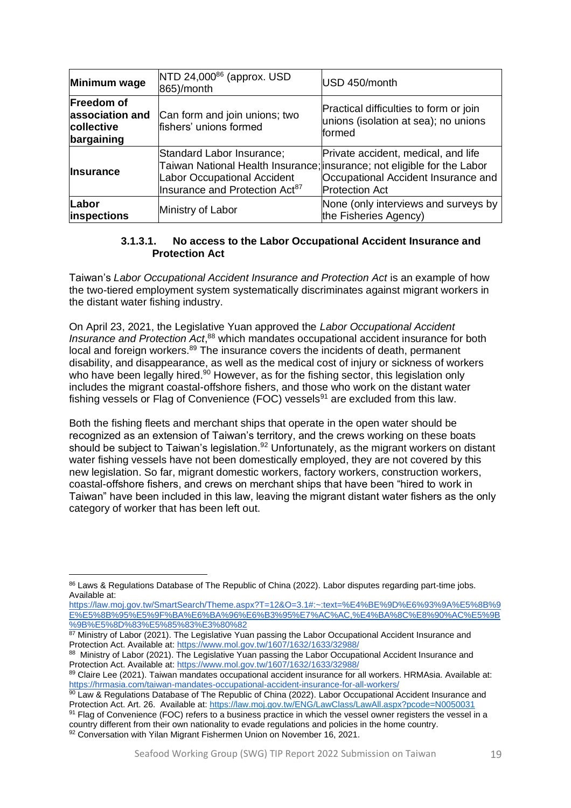| Minimum wage                                                     | NTD 24,000 <sup>86</sup> (approx. USD<br>865)/month                                                           | USD 450/month                                                                                                                                                                  |  |
|------------------------------------------------------------------|---------------------------------------------------------------------------------------------------------------|--------------------------------------------------------------------------------------------------------------------------------------------------------------------------------|--|
| <b>Freedom of</b><br>association and<br>collective<br>bargaining | Can form and join unions; two<br>fishers' unions formed                                                       | Practical difficulties to form or join<br>unions (isolation at sea); no unions<br>formed                                                                                       |  |
| <b>Insurance</b>                                                 | Standard Labor Insurance;<br><b>Labor Occupational Accident</b><br>Insurance and Protection Act <sup>87</sup> | Private accident, medical, and life<br>Taiwan National Health Insurance; insurance; not eligible for the Labor<br>Occupational Accident Insurance and<br><b>Protection Act</b> |  |
| Labor<br>inspections                                             | Ministry of Labor                                                                                             | None (only interviews and surveys by<br>the Fisheries Agency)                                                                                                                  |  |

#### **3.1.3.1. No access to the Labor Occupational Accident Insurance and Protection Act**

Taiwan's *Labor Occupational Accident Insurance and Protection Act* is an example of how the two-tiered employment system systematically discriminates against migrant workers in the distant water fishing industry.

On April 23, 2021, the Legislative Yuan approved the *Labor Occupational Accident Insurance and Protection Act*, <sup>88</sup> which mandates occupational accident insurance for both local and foreign workers.<sup>89</sup> The insurance covers the incidents of death, permanent disability, and disappearance, as well as the medical cost of injury or sickness of workers who have been legally hired.<sup>90</sup> However, as for the fishing sector, this legislation only includes the migrant coastal-offshore fishers, and those who work on the distant water fishing vessels or Flag of Convenience (FOC) vessels $91$  are excluded from this law.

Both the fishing fleets and merchant ships that operate in the open water should be recognized as an extension of Taiwan's territory, and the crews working on these boats should be subject to Taiwan's legislation.<sup>92</sup> Unfortunately, as the migrant workers on distant water fishing vessels have not been domestically employed, they are not covered by this new legislation. So far, migrant domestic workers, factory workers, construction workers, coastal-offshore fishers, and crews on merchant ships that have been "hired to work in Taiwan" have been included in this law, leaving the migrant distant water fishers as the only category of worker that has been left out.

<sup>86</sup> Laws & Regulations Database of The Republic of China (2022). Labor disputes regarding part-time jobs. Available at:

[https://law.moj.gov.tw/SmartSearch/Theme.aspx?T=12&O=3.1#:~:text=%E4%BE%9D%E6%93%9A%E5%8B%9](https://law.moj.gov.tw/SmartSearch/Theme.aspx?T=12&O=3.1#:~:text=%E4%BE%9D%E6%93%9A%E5%8B%9E%E5%8B%95%E5%9F%BA%E6%BA%96%E6%B3%95%E7%AC%AC,%E4%BA%8C%E8%90%AC%E5%9B%9B%E5%8D%83%E5%85%83%E3%80%82) [E%E5%8B%95%E5%9F%BA%E6%BA%96%E6%B3%95%E7%AC%AC,%E4%BA%8C%E8%90%AC%E5%9B](https://law.moj.gov.tw/SmartSearch/Theme.aspx?T=12&O=3.1#:~:text=%E4%BE%9D%E6%93%9A%E5%8B%9E%E5%8B%95%E5%9F%BA%E6%BA%96%E6%B3%95%E7%AC%AC,%E4%BA%8C%E8%90%AC%E5%9B%9B%E5%8D%83%E5%85%83%E3%80%82) [%9B%E5%8D%83%E5%85%83%E3%80%82](https://law.moj.gov.tw/SmartSearch/Theme.aspx?T=12&O=3.1#:~:text=%E4%BE%9D%E6%93%9A%E5%8B%9E%E5%8B%95%E5%9F%BA%E6%BA%96%E6%B3%95%E7%AC%AC,%E4%BA%8C%E8%90%AC%E5%9B%9B%E5%8D%83%E5%85%83%E3%80%82)

<sup>87</sup> Ministry of Labor (2021). The Legislative Yuan passing the Labor Occupational Accident Insurance and Protection Act. Available at[: https://www.mol.gov.tw/1607/1632/1633/32988/](https://www.mol.gov.tw/1607/1632/1633/32988/)

<sup>88</sup> Ministry of Labor (2021). The Legislative Yuan passing the Labor Occupational Accident Insurance and Protection Act. Available at[: https://www.mol.gov.tw/1607/1632/1633/32988/](https://www.mol.gov.tw/1607/1632/1633/32988/)

<sup>89</sup> Claire Lee (2021). Taiwan mandates occupational accident insurance for all workers. HRMAsia. Available at: <https://hrmasia.com/taiwan-mandates-occupational-accident-insurance-for-all-workers/>

 $90$  Law & Regulations Database of The Republic of China (2022). Labor Occupational Accident Insurance and Protection Act. Art. 26. Available at: <https://law.moj.gov.tw/ENG/LawClass/LawAll.aspx?pcode=N0050031>

<sup>91</sup> Flag of Convenience (FOC) refers to a business practice in which the vessel owner registers the vessel in a country different from their own nationality to evade regulations and policies in the home country. 92 Conversation with Yilan Migrant Fishermen Union on November 16, 2021.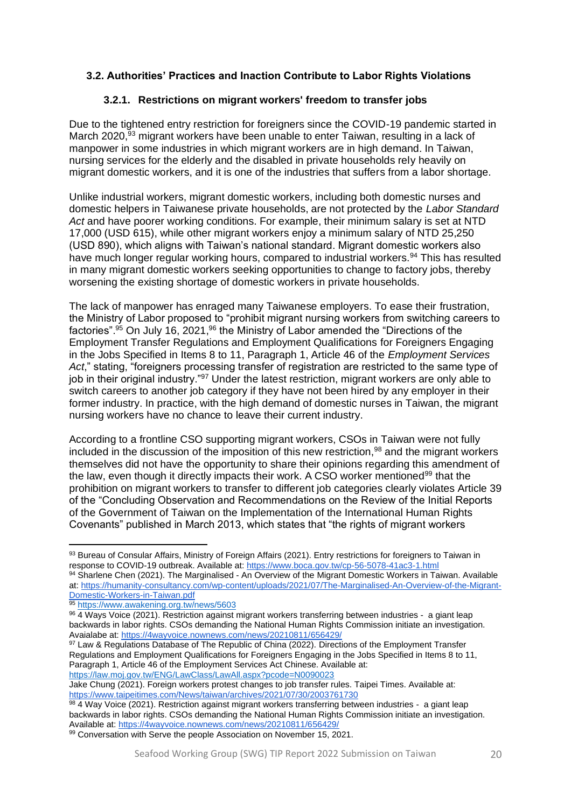## <span id="page-19-0"></span>**3.2. Authorities' Practices and Inaction Contribute to Labor Rights Violations**

#### **3.2.1. Restrictions on migrant workers' freedom to transfer jobs**

<span id="page-19-1"></span>Due to the tightened entry restriction for foreigners since the COVID-19 pandemic started in March 2020,<sup>93</sup> migrant workers have been unable to enter Taiwan, resulting in a lack of manpower in some industries in which migrant workers are in high demand. In Taiwan, nursing services for the elderly and the disabled in private households rely heavily on migrant domestic workers, and it is one of the industries that suffers from a labor shortage.

Unlike industrial workers, migrant domestic workers, including both domestic nurses and domestic helpers in Taiwanese private households, are not protected by the *Labor Standard Act* and have poorer working conditions. For example, their minimum salary is set at NTD 17,000 (USD 615), while other migrant workers enjoy a minimum salary of NTD 25,250 (USD 890), which aligns with Taiwan's national standard. Migrant domestic workers also have much longer regular working hours, compared to industrial workers.<sup>94</sup> This has resulted in many migrant domestic workers seeking opportunities to change to factory jobs, thereby worsening the existing shortage of domestic workers in private households.

The lack of manpower has enraged many Taiwanese employers. To ease their frustration, the Ministry of Labor proposed to "prohibit migrant nursing workers from switching careers to factories".<sup>95</sup> On July 16, 2021, <sup>96</sup> the Ministry of Labor amended the "Directions of the Employment Transfer Regulations and Employment Qualifications for Foreigners Engaging in the Jobs Specified in Items 8 to 11, Paragraph 1, Article 46 of the *Employment Services Act*," stating, "foreigners processing transfer of registration are restricted to the same type of job in their original industry."<sup>97</sup> Under the latest restriction, migrant workers are only able to switch careers to another job category if they have not been hired by any employer in their former industry. In practice, with the high demand of domestic nurses in Taiwan, the migrant nursing workers have no chance to leave their current industry.

According to a frontline CSO supporting migrant workers, CSOs in Taiwan were not fully included in the discussion of the imposition of this new restriction,<sup>98</sup> and the migrant workers themselves did not have the opportunity to share their opinions regarding this amendment of the law, even though it directly impacts their work. A CSO worker mentioned<sup>99</sup> that the prohibition on migrant workers to transfer to different job categories clearly violates Article 39 of the "Concluding Observation and Recommendations on the Review of the Initial Reports of the Government of Taiwan on the Implementation of the International Human Rights Covenants" published in March 2013, which states that "the rights of migrant workers

94 Sharlene Chen (2021). The Marginalised - An Overview of the Migrant Domestic Workers in Taiwan. Available at[: https://humanity-consultancy.com/wp-content/uploads/2021/07/The-Marginalised-An-Overview-of-the-Migrant-](https://humanity-consultancy.com/wp-content/uploads/2021/07/The-Marginalised-An-Overview-of-the-Migrant-Domestic-Workers-in-Taiwan.pdf)[Domestic-Workers-in-Taiwan.pdf](https://humanity-consultancy.com/wp-content/uploads/2021/07/The-Marginalised-An-Overview-of-the-Migrant-Domestic-Workers-in-Taiwan.pdf)

<sup>93</sup> Bureau of Consular Affairs, Ministry of Foreign Affairs (2021). Entry restrictions for foreigners to Taiwan in response to COVID-19 outbreak. Available at:<https://www.boca.gov.tw/cp-56-5078-41ac3-1.html>

<sup>95</sup> <https://www.awakening.org.tw/news/5603>

<sup>96 4</sup> Ways Voice (2021). Restriction against migrant workers transferring between industries - a giant leap backwards in labor rights. CSOs demanding the National Human Rights Commission initiate an investigation. Avaialabe at[: https://4wayvoice.nownews.com/news/20210811/656429/](https://4wayvoice.nownews.com/news/20210811/656429/)

<sup>97</sup> Law & Regulations Database of The Republic of China (2022). Directions of the Employment Transfer Regulations and Employment Qualifications for Foreigners Engaging in the Jobs Specified in Items 8 to 11, Paragraph 1, Article 46 of the Employment Services Act Chinese. Available at: <https://law.moj.gov.tw/ENG/LawClass/LawAll.aspx?pcode=N0090023>

Jake Chung (2021). Foreign workers protest changes to job transfer rules. Taipei Times. Available at: <https://www.taipeitimes.com/News/taiwan/archives/2021/07/30/2003761730>

<sup>98 4</sup> Way Voice (2021). Restriction against migrant workers transferring between industries - a giant leap backwards in labor rights. CSOs demanding the National Human Rights Commission initiate an investigation. Available at[: https://4wayvoice.nownews.com/news/20210811/656429/](https://4wayvoice.nownews.com/news/20210811/656429/) 99 Conversation with Serve the people Association on November 15, 2021.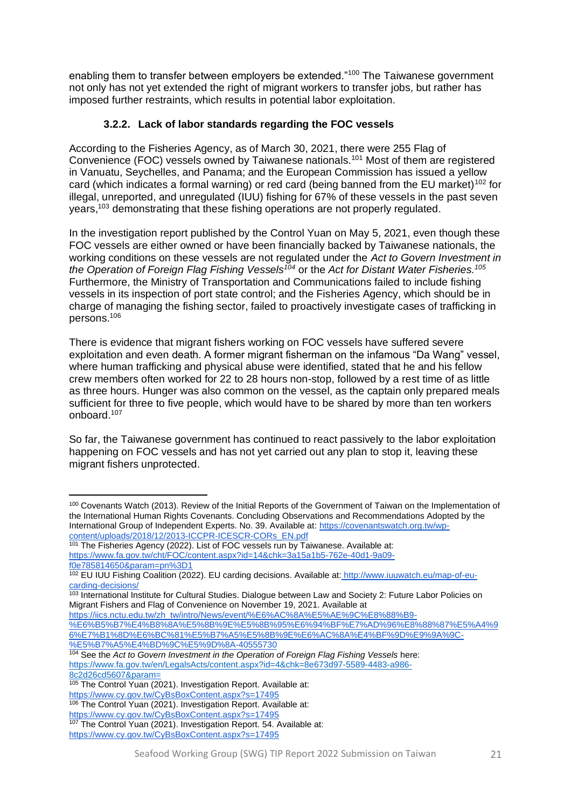enabling them to transfer between employers be extended."<sup>100</sup> The Taiwanese government not only has not yet extended the right of migrant workers to transfer jobs, but rather has imposed further restraints, which results in potential labor exploitation.

# **3.2.2. Lack of labor standards regarding the FOC vessels**

<span id="page-20-0"></span>According to the Fisheries Agency, as of March 30, 2021, there were 255 Flag of Convenience (FOC) vessels owned by Taiwanese nationals.<sup>101</sup> Most of them are registered in Vanuatu, Seychelles, and Panama; and the European Commission has issued a yellow card (which indicates a formal warning) or red card (being banned from the EU market)<sup>102</sup> for illegal, unreported, and unregulated (IUU) fishing for 67% of these vessels in the past seven years,<sup>103</sup> demonstrating that these fishing operations are not properly regulated.

In the investigation report published by the Control Yuan on May 5, 2021, even though these FOC vessels are either owned or have been financially backed by Taiwanese nationals, the working conditions on these vessels are not regulated under the *Act to Govern Investment in the Operation of Foreign Flag Fishing Vessels<sup>104</sup>* or the *Act for Distant Water Fisheries.<sup>105</sup>* Furthermore, the Ministry of Transportation and Communications failed to include fishing vessels in its inspection of port state control; and the Fisheries Agency, which should be in charge of managing the fishing sector, failed to proactively investigate cases of trafficking in persons.<sup>106</sup>

There is evidence that migrant fishers working on FOC vessels have suffered severe exploitation and even death. A former migrant fisherman on the infamous "Da Wang" vessel, where human trafficking and physical abuse were identified, stated that he and his fellow crew members often worked for 22 to 28 hours non-stop, followed by a rest time of as little as three hours. Hunger was also common on the vessel, as the captain only prepared meals sufficient for three to five people, which would have to be shared by more than ten workers onboard.<sup>107</sup>

So far, the Taiwanese government has continued to react passively to the labor exploitation happening on FOC vessels and has not yet carried out any plan to stop it, leaving these migrant fishers unprotected.

<sup>100</sup> Covenants Watch (2013). Review of the Initial Reports of the Government of Taiwan on the Implementation of the International Human Rights Covenants. Concluding Observations and Recommendations Adopted by the International Group of Independent Experts. No. 39. Available at[: https://covenantswatch.org.tw/wp](https://covenantswatch.org.tw/wp-content/uploads/2018/12/2013-ICCPR-ICESCR-CORs_EN.pdf)[content/uploads/2018/12/2013-ICCPR-ICESCR-CORs\\_EN.pdf](https://covenantswatch.org.tw/wp-content/uploads/2018/12/2013-ICCPR-ICESCR-CORs_EN.pdf)

 $101$  The Fisheries Agency (2022). List of FOC vessels run by Taiwanese. Available at: [https://www.fa.gov.tw/cht/FOC/content.aspx?id=14&chk=3a15a1b5-762e-40d1-9a09](https://www.fa.gov.tw/cht/FOC/content.aspx?id=14&chk=3a15a1b5-762e-40d1-9a09-f0e785814650¶m=pn%3D1) [f0e785814650&param=pn%3D1](https://www.fa.gov.tw/cht/FOC/content.aspx?id=14&chk=3a15a1b5-762e-40d1-9a09-f0e785814650¶m=pn%3D1)

<sup>102</sup> EU IUU Fishing Coalition (2022). EU carding decisions. Available at: [http://www.iuuwatch.eu/map-of-eu](http://www.iuuwatch.eu/map-of-eu-carding-decisions/)[carding-decisions/](http://www.iuuwatch.eu/map-of-eu-carding-decisions/)

<sup>&</sup>lt;sup>103</sup> International Institute for Cultural Studies. Dialogue between Law and Society 2: Future Labor Policies on Migrant Fishers and Flag of Convenience on November 19, 2021. Available at

[https://iics.nctu.edu.tw/zh\\_tw/intro/News/event/%E6%AC%8A%E5%AE%9C%E8%88%B9-](https://iics.nctu.edu.tw/zh_tw/intro/News/event/%E6%AC%8A%E5%AE%9C%E8%88%B9-%E6%B5%B7%E4%B8%8A%E5%8B%9E%E5%8B%95%E6%94%BF%E7%AD%96%E8%88%87%E5%A4%96%E7%B1%8D%E6%BC%81%E5%B7%A5%E5%8B%9E%E6%AC%8A%E4%BF%9D%E9%9A%9C-%E5%B7%A5%E4%BD%9C%E5%9D%8A-40555730) [%E6%B5%B7%E4%B8%8A%E5%8B%9E%E5%8B%95%E6%94%BF%E7%AD%96%E8%88%87%E5%A4%9](https://iics.nctu.edu.tw/zh_tw/intro/News/event/%E6%AC%8A%E5%AE%9C%E8%88%B9-%E6%B5%B7%E4%B8%8A%E5%8B%9E%E5%8B%95%E6%94%BF%E7%AD%96%E8%88%87%E5%A4%96%E7%B1%8D%E6%BC%81%E5%B7%A5%E5%8B%9E%E6%AC%8A%E4%BF%9D%E9%9A%9C-%E5%B7%A5%E4%BD%9C%E5%9D%8A-40555730)

[<sup>6%</sup>E7%B1%8D%E6%BC%81%E5%B7%A5%E5%8B%9E%E6%AC%8A%E4%BF%9D%E9%9A%9C-](https://iics.nctu.edu.tw/zh_tw/intro/News/event/%E6%AC%8A%E5%AE%9C%E8%88%B9-%E6%B5%B7%E4%B8%8A%E5%8B%9E%E5%8B%95%E6%94%BF%E7%AD%96%E8%88%87%E5%A4%96%E7%B1%8D%E6%BC%81%E5%B7%A5%E5%8B%9E%E6%AC%8A%E4%BF%9D%E9%9A%9C-%E5%B7%A5%E4%BD%9C%E5%9D%8A-40555730) [%E5%B7%A5%E4%BD%9C%E5%9D%8A-40555730](https://iics.nctu.edu.tw/zh_tw/intro/News/event/%E6%AC%8A%E5%AE%9C%E8%88%B9-%E6%B5%B7%E4%B8%8A%E5%8B%9E%E5%8B%95%E6%94%BF%E7%AD%96%E8%88%87%E5%A4%96%E7%B1%8D%E6%BC%81%E5%B7%A5%E5%8B%9E%E6%AC%8A%E4%BF%9D%E9%9A%9C-%E5%B7%A5%E4%BD%9C%E5%9D%8A-40555730)

<sup>104</sup> See the *Act to Govern Investment in the Operation of Foreign Flag Fishing Vessels* here: [https://www.fa.gov.tw/en/LegalsActs/content.aspx?id=4&chk=8e673d97-5589-4483-a986-](https://www.fa.gov.tw/en/LegalsActs/content.aspx?id=4&chk=8e673d97-5589-4483-a986-8c2d26cd5607¶m=) [8c2d26cd5607&param=](https://www.fa.gov.tw/en/LegalsActs/content.aspx?id=4&chk=8e673d97-5589-4483-a986-8c2d26cd5607¶m=)

<sup>&</sup>lt;sup>105</sup> The Control Yuan (2021). Investigation Report. Available at: <https://www.cy.gov.tw/CyBsBoxContent.aspx?s=17495>

<sup>&</sup>lt;sup>106</sup> The Control Yuan (2021). Investigation Report. Available at:

<https://www.cy.gov.tw/CyBsBoxContent.aspx?s=17495> 107 The Control Yuan (2021). Investigation Report. 54. Available at:

<https://www.cy.gov.tw/CyBsBoxContent.aspx?s=17495>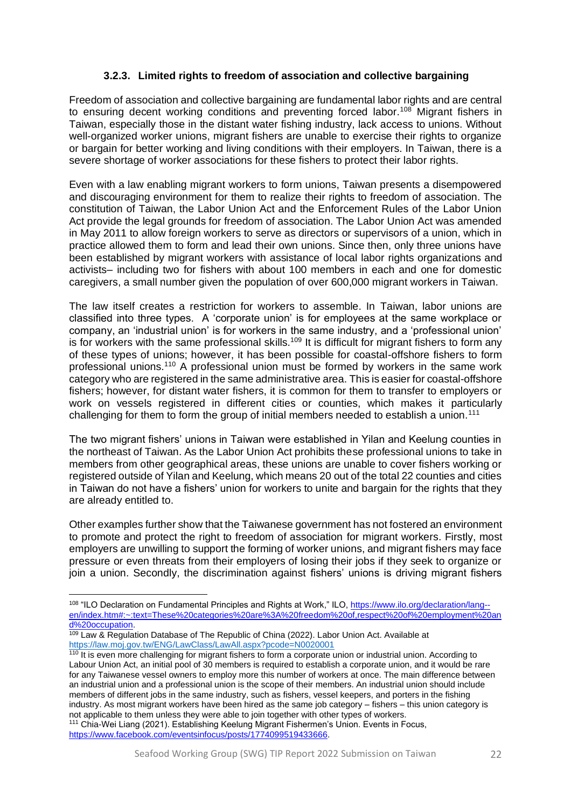#### **3.2.3. Limited rights to freedom of association and collective bargaining**

<span id="page-21-0"></span>Freedom of association and collective bargaining are fundamental labor rights and are central to ensuring decent working conditions and preventing forced labor.<sup>108</sup> Migrant fishers in Taiwan, especially those in the distant water fishing industry, lack access to unions. Without well-organized worker unions, migrant fishers are unable to exercise their rights to organize or bargain for better working and living conditions with their employers. In Taiwan, there is a severe shortage of worker associations for these fishers to protect their labor rights.

Even with a law enabling migrant workers to form unions, Taiwan presents a disempowered and discouraging environment for them to realize their rights to freedom of association. The constitution of Taiwan, the Labor Union Act and the Enforcement Rules of the Labor Union Act provide the legal grounds for freedom of association. The Labor Union Act was amended in May 2011 to allow foreign workers to serve as directors or supervisors of a union, which in practice allowed them to form and lead their own unions. Since then, only three unions have been established by migrant workers with assistance of local labor rights organizations and activists– including two for fishers with about 100 members in each and one for domestic caregivers, a small number given the population of over 600,000 migrant workers in Taiwan.

The law itself creates a restriction for workers to assemble. In Taiwan, labor unions are classified into three types. A 'corporate union' is for employees at the same workplace or company, an 'industrial union' is for workers in the same industry, and a 'professional union' is for workers with the same professional skills.<sup>109</sup> It is difficult for migrant fishers to form any of these types of unions; however, it has been possible for coastal-offshore fishers to form professional unions.<sup>110</sup> A professional union must be formed by workers in the same work category who are registered in the same administrative area. This is easier for coastal-offshore fishers; however, for distant water fishers, it is common for them to transfer to employers or work on vessels registered in different cities or counties, which makes it particularly challenging for them to form the group of initial members needed to establish a union.<sup>111</sup>

The two migrant fishers' unions in Taiwan were established in Yilan and Keelung counties in the northeast of Taiwan. As the Labor Union Act prohibits these professional unions to take in members from other geographical areas, these unions are unable to cover fishers working or registered outside of Yilan and Keelung, which means 20 out of the total 22 counties and cities in Taiwan do not have a fishers' union for workers to unite and bargain for the rights that they are already entitled to.

Other examples further show that the Taiwanese government has not fostered an environment to promote and protect the right to freedom of association for migrant workers. Firstly, most employers are unwilling to support the forming of worker unions, and migrant fishers may face pressure or even threats from their employers of losing their jobs if they seek to organize or join a union. Secondly, the discrimination against fishers' unions is driving migrant fishers

<sup>108 &</sup>quot;ILO Declaration on Fundamental Principles and Rights at Work," ILO, [https://www.ilo.org/declaration/lang-](https://www.ilo.org/declaration/lang--en/index.htm#:~:text=These%20categories%20are%3A%20freedom%20of,respect%20of%20employment%20and%20occupation) [en/index.htm#:~:text=These%20categories%20are%3A%20freedom%20of,respect%20of%20employment%20an](https://www.ilo.org/declaration/lang--en/index.htm#:~:text=These%20categories%20are%3A%20freedom%20of,respect%20of%20employment%20and%20occupation) [d%20occupation.](https://www.ilo.org/declaration/lang--en/index.htm#:~:text=These%20categories%20are%3A%20freedom%20of,respect%20of%20employment%20and%20occupation)

<sup>109</sup> Law & Regulation Database of The Republic of China (2022). Labor Union Act. Available at <https://law.moj.gov.tw/ENG/LawClass/LawAll.aspx?pcode=N0020001>

<sup>&</sup>lt;sup>110</sup> It is even more challenging for migrant fishers to form a corporate union or industrial union. According to Labour Union Act, an initial pool of 30 members is required to establish a corporate union, and it would be rare for any Taiwanese vessel owners to employ more this number of workers at once. The main difference between an industrial union and a professional union is the scope of their members. An industrial union should include members of different jobs in the same industry, such as fishers, vessel keepers, and porters in the fishing industry. As most migrant workers have been hired as the same job category – fishers – this union category is not applicable to them unless they were able to join together with other types of workers. <sup>111</sup> Chia-Wei Liang (2021). Establishing Keelung Migrant Fishermen's Union. Events in Focus, [https://www.facebook.com/eventsinfocus/posts/1774099519433666.](https://www.facebook.com/eventsinfocus/posts/1774099519433666)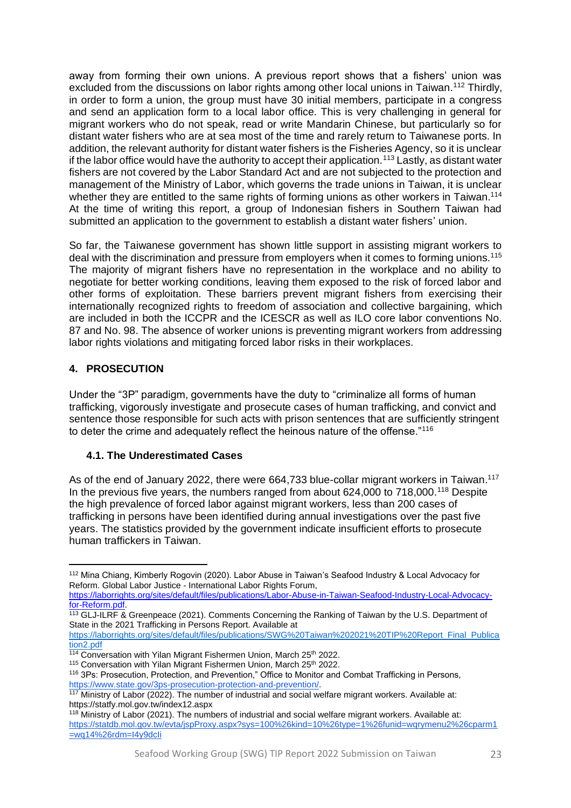away from forming their own unions. A previous report shows that a fishers' union was excluded from the discussions on labor rights among other local unions in Taiwan.<sup>112</sup> Thirdly, in order to form a union, the group must have 30 initial members, participate in a congress and send an application form to a local labor office. This is very challenging in general for migrant workers who do not speak, read or write Mandarin Chinese, but particularly so for distant water fishers who are at sea most of the time and rarely return to Taiwanese ports. In addition, the relevant authority for distant water fishers is the Fisheries Agency, so it is unclear if the labor office would have the authority to accept their application.<sup>113</sup> Lastly, as distant water fishers are not covered by the Labor Standard Act and are not subjected to the protection and management of the Ministry of Labor, which governs the trade unions in Taiwan, it is unclear whether they are entitled to the same rights of forming unions as other workers in Taiwan.<sup>114</sup> At the time of writing this report, a group of Indonesian fishers in Southern Taiwan had submitted an application to the government to establish a distant water fishers' union.

So far, the Taiwanese government has shown little support in assisting migrant workers to deal with the discrimination and pressure from employers when it comes to forming unions.<sup>115</sup> The majority of migrant fishers have no representation in the workplace and no ability to negotiate for better working conditions, leaving them exposed to the risk of forced labor and other forms of exploitation. These barriers prevent migrant fishers from exercising their internationally recognized rights to freedom of association and collective bargaining, which are included in both the ICCPR and the ICESCR as well as ILO core labor conventions No. 87 and No. 98. The absence of worker unions is preventing migrant workers from addressing labor rights violations and mitigating forced labor risks in their workplaces.

# <span id="page-22-0"></span>**4. PROSECUTION**

Under the "3P" paradigm, governments have the duty to "criminalize all forms of human trafficking, vigorously investigate and prosecute cases of human trafficking, and convict and sentence those responsible for such acts with prison sentences that are sufficiently stringent to deter the crime and adequately reflect the heinous nature of the offense."<sup>116</sup>

## <span id="page-22-1"></span>**4.1. The Underestimated Cases**

As of the end of January 2022, there were 664,733 blue-collar migrant workers in Taiwan.<sup>117</sup> In the previous five years, the numbers ranged from about 624,000 to 718,000.<sup>118</sup> Despite the high prevalence of forced labor against migrant workers, less than 200 cases of trafficking in persons have been identified during annual investigations over the past five years. The statistics provided by the government indicate insufficient efforts to prosecute human traffickers in Taiwan.

<sup>112</sup> Mina Chiang, Kimberly Rogovin (2020). Labor Abuse in Taiwan's Seafood Industry & Local Advocacy for Reform. Global Labor Justice - International Labor Rights Forum, [https://laborrights.org/sites/default/files/publications/Labor-Abuse-in-Taiwan-Seafood-Industry-Local-Advocacy-](https://laborrights.org/sites/default/files/publications/Labor-Abuse-in-Taiwan-Seafood-Industry-Local-Advocacy-for-Reform.pdf)

[for-Reform.pdf.](https://laborrights.org/sites/default/files/publications/Labor-Abuse-in-Taiwan-Seafood-Industry-Local-Advocacy-for-Reform.pdf)

<sup>&</sup>lt;sup>113</sup> GLJ-ILRF & Greenpeace (2021). Comments Concerning the Ranking of Taiwan by the U.S. Department of State in the 2021 Trafficking in Persons Report. Available at

[https://laborrights.org/sites/default/files/publications/SWG%20Taiwan%202021%20TIP%20Report\\_Final\\_Publica](https://laborrights.org/sites/default/files/publications/SWG%20Taiwan%202021%20TIP%20Report_Final_Publication2.pdf) [tion2.pdf](https://laborrights.org/sites/default/files/publications/SWG%20Taiwan%202021%20TIP%20Report_Final_Publication2.pdf)

 $114$  Conversation with Yilan Migrant Fishermen Union, March 25<sup>th</sup> 2022.

<sup>115</sup> Conversation with Yilan Migrant Fishermen Union, March 25th 2022.

<sup>116</sup> 3Ps: Prosecution, Protection, and Prevention," Office to Monitor and Combat Trafficking in Persons, [https://www.state.gov/3ps-prosecution-protection-and-prevention/.](https://www.state.gov/3ps-prosecution-protection-and-prevention/)

<sup>&</sup>lt;sup>117</sup> Ministry of Labor (2022). The number of industrial and social welfare migrant workers. Available at: https://statfy.mol.gov.tw/index12.aspx

<sup>118</sup> Ministry of Labor (2021). The numbers of industrial and social welfare migrant workers. Available at: [https://statdb.mol.gov.tw/evta/jspProxy.aspx?sys=100%26kind=10%26type=1%26funid=wqrymenu2%26cparm1](https://statdb.mol.gov.tw/evta/jspProxy.aspx?sys=100%26kind=10%26type=1%26funid=wqrymenu2%26cparm1=wq14%26rdm=I4y9dcIi) [=wq14%26rdm=I4y9dcIi](https://statdb.mol.gov.tw/evta/jspProxy.aspx?sys=100%26kind=10%26type=1%26funid=wqrymenu2%26cparm1=wq14%26rdm=I4y9dcIi)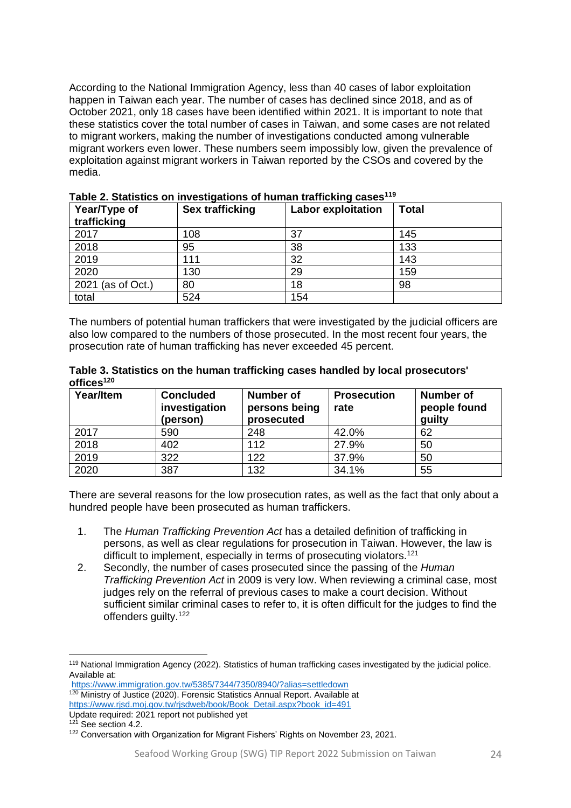According to the National Immigration Agency, less than 40 cases of labor exploitation happen in Taiwan each year. The number of cases has declined since 2018, and as of October 2021, only 18 cases have been identified within 2021. It is important to note that these statistics cover the total number of cases in Taiwan, and some cases are not related to migrant workers, making the number of investigations conducted among vulnerable migrant workers even lower. These numbers seem impossibly low, given the prevalence of exploitation against migrant workers in Taiwan reported by the CSOs and covered by the media.

| Year/Type of<br>trafficking | Sex trafficking | <b>Labor exploitation</b> | <b>Total</b> |
|-----------------------------|-----------------|---------------------------|--------------|
| 2017                        | 108             | 37                        | 145          |
| 2018                        | 95              | 38                        | 133          |
| 2019                        | 111             | 32                        | 143          |
| 2020                        | 130             | 29                        | 159          |
| 2021 (as of Oct.)           | 80              | 18                        | 98           |
| total                       | 524             | 154                       |              |

**Table 2. Statistics on investigations of human trafficking cases<sup>119</sup>**

The numbers of potential human traffickers that were investigated by the judicial officers are also low compared to the numbers of those prosecuted. In the most recent four years, the prosecution rate of human trafficking has never exceeded 45 percent.

**Table 3. Statistics on the human trafficking cases handled by local prosecutors' offices<sup>120</sup>**

| Year/Item | <b>Concluded</b><br>investigation<br>(person) | <b>Number of</b><br>persons being<br>prosecuted | <b>Prosecution</b><br>rate | <b>Number of</b><br>people found<br>guilty |
|-----------|-----------------------------------------------|-------------------------------------------------|----------------------------|--------------------------------------------|
| 2017      | 590                                           | 248                                             | 42.0%                      | 62                                         |
| 2018      | 402                                           | 112                                             | 27.9%                      | 50                                         |
| 2019      | 322                                           | 122                                             | 37.9%                      | 50                                         |
| 2020      | 387                                           | 132                                             | 34.1%                      | 55                                         |

There are several reasons for the low prosecution rates, as well as the fact that only about a hundred people have been prosecuted as human traffickers.

- 1. The *Human Trafficking Prevention Act* has a detailed definition of trafficking in persons, as well as clear regulations for prosecution in Taiwan. However, the law is difficult to implement, especially in terms of prosecuting violators.<sup>121</sup>
- 2. Secondly, the number of cases prosecuted since the passing of the *Human Trafficking Prevention Act* in 2009 is very low. When reviewing a criminal case, most judges rely on the referral of previous cases to make a court decision. Without sufficient similar criminal cases to refer to, it is often difficult for the judges to find the offenders quilty.<sup>122</sup>

<sup>119</sup> National Immigration Agency (2022). Statistics of human trafficking cases investigated by the judicial police. Available at:

<https://www.immigration.gov.tw/5385/7344/7350/8940/?alias=settledown> <sup>120</sup> Ministry of Justice (2020). Forensic Statistics Annual Report. Available at [https://www.rjsd.moj.gov.tw/rjsdweb/book/Book\\_Detail.aspx?book\\_id=491](https://www.rjsd.moj.gov.tw/rjsdweb/book/Book_Detail.aspx?book_id=491)

Update required: 2021 report not published yet

<sup>&</sup>lt;sup>121</sup> See section 4.2.

<sup>122</sup> Conversation with Organization for Migrant Fishers' Rights on November 23, 2021.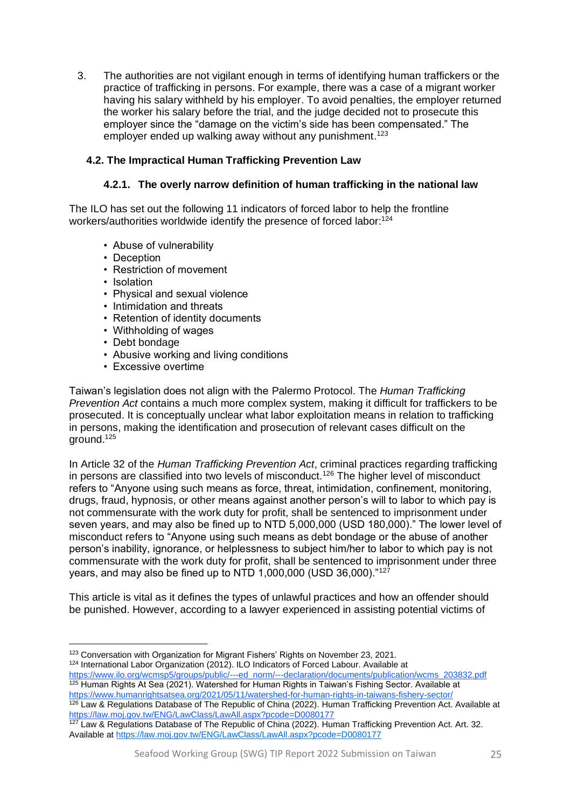3. The authorities are not vigilant enough in terms of identifying human traffickers or the practice of trafficking in persons. For example, there was a case of a migrant worker having his salary withheld by his employer. To avoid penalties, the employer returned the worker his salary before the trial, and the judge decided not to prosecute this employer since the "damage on the victim's side has been compensated." The employer ended up walking away without any punishment.<sup>123</sup>

# <span id="page-24-0"></span>**4.2. The Impractical Human Trafficking Prevention Law**

## **4.2.1. The overly narrow definition of human trafficking in the national law**

<span id="page-24-1"></span>The ILO has set out the following 11 indicators of forced labor to help the frontline workers/authorities worldwide identify the presence of forced labor:<sup>124</sup>

- Abuse of vulnerability
- Deception
- Restriction of movement
- Isolation
- Physical and sexual violence
- Intimidation and threats
- Retention of identity documents
- Withholding of wages
- Debt bondage
- Abusive working and living conditions
- Excessive overtime

Taiwan's legislation does not align with the Palermo Protocol. The *Human Trafficking Prevention Act* contains a much more complex system, making it difficult for traffickers to be prosecuted. It is conceptually unclear what labor exploitation means in relation to trafficking in persons, making the identification and prosecution of relevant cases difficult on the around. $125$ 

In Article 32 of the *Human Trafficking Prevention Act*, criminal practices regarding trafficking in persons are classified into two levels of misconduct.<sup>126</sup> The higher level of misconduct refers to "Anyone using such means as force, threat, intimidation, confinement, monitoring, drugs, fraud, hypnosis, or other means against another person's will to labor to which pay is not commensurate with the work duty for profit, shall be sentenced to imprisonment under seven years, and may also be fined up to NTD 5,000,000 (USD 180,000)." The lower level of misconduct refers to "Anyone using such means as debt bondage or the abuse of another person's inability, ignorance, or helplessness to subject him/her to labor to which pay is not commensurate with the work duty for profit, shall be sentenced to imprisonment under three years, and may also be fined up to NTD 1,000,000 (USD 36,000)."127

This article is vital as it defines the types of unlawful practices and how an offender should be punished. However, according to a lawyer experienced in assisting potential victims of

124 International Labor Organization (2012). ILO Indicators of Forced Labour. Available at [https://www.ilo.org/wcmsp5/groups/public/---ed\\_norm/---declaration/documents/publication/wcms\\_203832.pdf](https://www.ilo.org/wcmsp5/groups/public/---ed_norm/---declaration/documents/publication/wcms_203832.pdf)

<sup>125</sup> Human Rights At Sea (2021). Watershed for Human Rights in Taiwan's Fishing Sector. Available at <https://www.humanrightsatsea.org/2021/05/11/watershed-for-human-rights-in-taiwans-fishery-sector/>

<sup>126</sup> Law & Regulations Database of The Republic of China (2022). Human Trafficking Prevention Act. Available at <https://law.moj.gov.tw/ENG/LawClass/LawAll.aspx?pcode=D0080177>

<sup>123</sup> Conversation with Organization for Migrant Fishers' Rights on November 23, 2021.

<sup>&</sup>lt;sup>127</sup> Law & Regulations Database of The Republic of China (2022). Human Trafficking Prevention Act. Art. 32. Available at<https://law.moj.gov.tw/ENG/LawClass/LawAll.aspx?pcode=D0080177>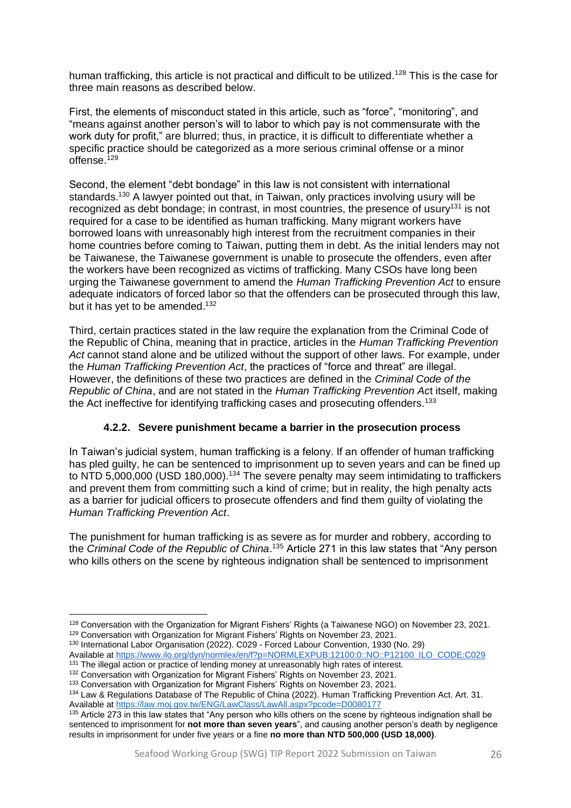human trafficking, this article is not practical and difficult to be utilized.<sup>128</sup> This is the case for three main reasons as described below.

First, the elements of misconduct stated in this article, such as "force", "monitoring", and "means against another person's will to labor to which pay is not commensurate with the work duty for profit," are blurred; thus, in practice, it is difficult to differentiate whether a specific practice should be categorized as a more serious criminal offense or a minor offense.<sup>129</sup>

Second, the element "debt bondage" in this law is not consistent with international standards.<sup>130</sup> A lawyer pointed out that, in Taiwan, only practices involving usury will be recognized as debt bondage; in contrast, in most countries, the presence of usury<sup>131</sup> is not required for a case to be identified as human trafficking. Many migrant workers have borrowed loans with unreasonably high interest from the recruitment companies in their home countries before coming to Taiwan, putting them in debt. As the initial lenders may not be Taiwanese, the Taiwanese government is unable to prosecute the offenders, even after the workers have been recognized as victims of trafficking. Many CSOs have long been urging the Taiwanese government to amend the *Human Trafficking Prevention Act* to ensure adequate indicators of forced labor so that the offenders can be prosecuted through this law, but it has yet to be amended.<sup>132</sup>

Third, certain practices stated in the law require the explanation from the Criminal Code of the Republic of China, meaning that in practice, articles in the *Human Trafficking Prevention Act* cannot stand alone and be utilized without the support of other laws. For example, under the *Human Trafficking Prevention Act*, the practices of "force and threat" are illegal. However, the definitions of these two practices are defined in the *Criminal Code of the Republic of China*, and are not stated in the *Human Trafficking Prevention Ac*t itself, making the Act ineffective for identifying trafficking cases and prosecuting offenders.<sup>133</sup>

## **4.2.2. Severe punishment became a barrier in the prosecution process**

<span id="page-25-0"></span>In Taiwan's judicial system, human trafficking is a felony. If an offender of human trafficking has pled guilty, he can be sentenced to imprisonment up to seven years and can be fined up to NTD 5,000,000 (USD 180,000).<sup>134</sup> The severe penalty may seem intimidating to traffickers and prevent them from committing such a kind of crime; but in reality, the high penalty acts as a barrier for judicial officers to prosecute offenders and find them guilty of violating the *Human Trafficking Prevention Act*.

The punishment for human trafficking is as severe as for murder and robbery, according to the *Criminal Code of the Republic of China*. <sup>135</sup> Article 271 in this law states that "Any person who kills others on the scene by righteous indignation shall be sentenced to imprisonment

<sup>129</sup> Conversation with Organization for Migrant Fishers' Rights on November 23, 2021.

<sup>128</sup> Conversation with the Organization for Migrant Fishers' Rights (a Taiwanese NGO) on November 23, 2021.

<sup>130</sup> International Labor Organisation (2022). C029 - Forced Labour Convention, 1930 (No. 29) Available at [https://www.ilo.org/dyn/normlex/en/f?p=NORMLEXPUB:12100:0::NO::P12100\\_ILO\\_CODE:C029](https://www.ilo.org/dyn/normlex/en/f?p=NORMLEXPUB:12100:0::NO::P12100_ILO_CODE:C029) <sup>131</sup> The illegal action or practice of lending money at unreasonably high rates of interest.

<sup>132</sup> Conversation with Organization for Migrant Fishers' Rights on November 23, 2021.

<sup>&</sup>lt;sup>133</sup> Conversation with Organization for Migrant Fishers' Rights on November 23, 2021.

<sup>134</sup> Law & Regulations Database of The Republic of China (2022). Human Trafficking Prevention Act. Art. 31. Available at<https://law.moj.gov.tw/ENG/LawClass/LawAll.aspx?pcode=D0080177>

 $135$  Article 273 in this law states that "Any person who kills others on the scene by righteous indignation shall be sentenced to imprisonment for **not more than seven years**", and causing another person's death by negligence results in imprisonment for under five years or a fine **no more than NTD 500,000 (USD 18,000)**.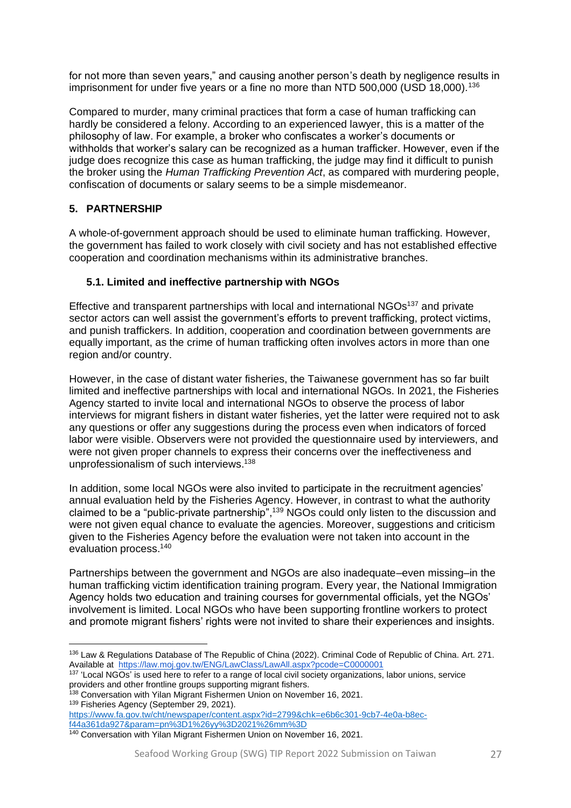for not more than seven years," and causing another person's death by negligence results in imprisonment for under five years or a fine no more than NTD 500,000 (USD 18,000).<sup>136</sup>

Compared to murder, many criminal practices that form a case of human trafficking can hardly be considered a felony. According to an experienced lawyer, this is a matter of the philosophy of law. For example, a broker who confiscates a worker's documents or withholds that worker's salary can be recognized as a human trafficker. However, even if the judge does recognize this case as human trafficking, the judge may find it difficult to punish the broker using the *Human Trafficking Prevention Act*, as compared with murdering people, confiscation of documents or salary seems to be a simple misdemeanor.

## <span id="page-26-0"></span>**5. PARTNERSHIP**

A whole-of-government approach should be used to eliminate human trafficking. However, the government has failed to work closely with civil society and has not established effective cooperation and coordination mechanisms within its administrative branches.

#### <span id="page-26-1"></span>**5.1. Limited and ineffective partnership with NGOs**

Effective and transparent partnerships with local and international NGOs<sup>137</sup> and private sector actors can well assist the government's efforts to prevent trafficking, protect victims, and punish traffickers. In addition, cooperation and coordination between governments are equally important, as the crime of human trafficking often involves actors in more than one region and/or country.

However, in the case of distant water fisheries, the Taiwanese government has so far built limited and ineffective partnerships with local and international NGOs. In 2021, the Fisheries Agency started to invite local and international NGOs to observe the process of labor interviews for migrant fishers in distant water fisheries, yet the latter were required not to ask any questions or offer any suggestions during the process even when indicators of forced labor were visible. Observers were not provided the questionnaire used by interviewers, and were not given proper channels to express their concerns over the ineffectiveness and unprofessionalism of such interviews.<sup>138</sup>

In addition, some local NGOs were also invited to participate in the recruitment agencies' annual evaluation held by the Fisheries Agency. However, in contrast to what the authority claimed to be a "public-private partnership",<sup>139</sup> NGOs could only listen to the discussion and were not given equal chance to evaluate the agencies. Moreover, suggestions and criticism given to the Fisheries Agency before the evaluation were not taken into account in the evaluation process.<sup>140</sup>

Partnerships between the government and NGOs are also inadequate–even missing–in the human trafficking victim identification training program. Every year, the National Immigration Agency holds two education and training courses for governmental officials, yet the NGOs' involvement is limited. Local NGOs who have been supporting frontline workers to protect and promote migrant fishers' rights were not invited to share their experiences and insights.

<sup>138</sup> Conversation with Yilan Migrant Fishermen Union on November 16, 2021.

<sup>139</sup> Fisheries Agency (September 29, 2021).

[https://www.fa.gov.tw/cht/newspaper/content.aspx?id=2799&chk=e6b6c301-9cb7-4e0a-b8ec](https://www.fa.gov.tw/cht/newspaper/content.aspx?id=2799&chk=e6b6c301-9cb7-4e0a-b8ec-f44a361da927¶m=pn%3D1%26yy%3D2021%26mm%3D)[f44a361da927&param=pn%3D1%26yy%3D2021%26mm%3D](https://www.fa.gov.tw/cht/newspaper/content.aspx?id=2799&chk=e6b6c301-9cb7-4e0a-b8ec-f44a361da927¶m=pn%3D1%26yy%3D2021%26mm%3D)

<sup>136</sup> Law & Regulations Database of The Republic of China (2022). Criminal Code of Republic of China. Art. 271. Available at<https://law.moj.gov.tw/ENG/LawClass/LawAll.aspx?pcode=C0000001>

<sup>&</sup>lt;sup>137</sup> 'Local NGOs' is used here to refer to a range of local civil society organizations, labor unions, service providers and other frontline groups supporting migrant fishers.

<sup>140</sup> Conversation with Yilan Migrant Fishermen Union on November 16, 2021.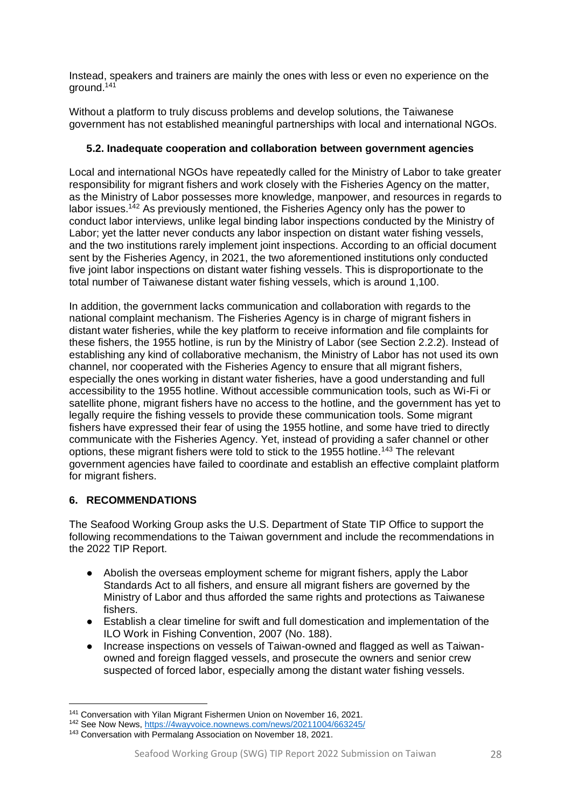Instead, speakers and trainers are mainly the ones with less or even no experience on the ground.<sup>141</sup>

Without a platform to truly discuss problems and develop solutions, the Taiwanese government has not established meaningful partnerships with local and international NGOs.

#### <span id="page-27-0"></span>**5.2. Inadequate cooperation and collaboration between government agencies**

Local and international NGOs have repeatedly called for the Ministry of Labor to take greater responsibility for migrant fishers and work closely with the Fisheries Agency on the matter, as the Ministry of Labor possesses more knowledge, manpower, and resources in regards to labor issues.<sup>142</sup> As previously mentioned, the Fisheries Agency only has the power to conduct labor interviews, unlike legal binding labor inspections conducted by the Ministry of Labor; yet the latter never conducts any labor inspection on distant water fishing vessels, and the two institutions rarely implement joint inspections. According to an official document sent by the Fisheries Agency, in 2021, the two aforementioned institutions only conducted five joint labor inspections on distant water fishing vessels. This is disproportionate to the total number of Taiwanese distant water fishing vessels, which is around 1,100.

In addition, the government lacks communication and collaboration with regards to the national complaint mechanism. The Fisheries Agency is in charge of migrant fishers in distant water fisheries, while the key platform to receive information and file complaints for these fishers, the 1955 hotline, is run by the Ministry of Labor (see Section 2.2.2). Instead of establishing any kind of collaborative mechanism, the Ministry of Labor has not used its own channel, nor cooperated with the Fisheries Agency to ensure that all migrant fishers, especially the ones working in distant water fisheries, have a good understanding and full accessibility to the 1955 hotline. Without accessible communication tools, such as Wi-Fi or satellite phone, migrant fishers have no access to the hotline, and the government has yet to legally require the fishing vessels to provide these communication tools. Some migrant fishers have expressed their fear of using the 1955 hotline, and some have tried to directly communicate with the Fisheries Agency. Yet, instead of providing a safer channel or other options, these migrant fishers were told to stick to the 1955 hotline.<sup>143</sup> The relevant government agencies have failed to coordinate and establish an effective complaint platform for migrant fishers.

## <span id="page-27-1"></span>**6. RECOMMENDATIONS**

The Seafood Working Group asks the U.S. Department of State TIP Office to support the following recommendations to the Taiwan government and include the recommendations in the 2022 TIP Report.

- Abolish the overseas employment scheme for migrant fishers, apply the Labor Standards Act to all fishers, and ensure all migrant fishers are governed by the Ministry of Labor and thus afforded the same rights and protections as Taiwanese fishers.
- Establish a clear timeline for swift and full domestication and implementation of the ILO Work in Fishing Convention, 2007 (No. 188).
- Increase inspections on vessels of Taiwan-owned and flagged as well as Taiwanowned and foreign flagged vessels, and prosecute the owners and senior crew suspected of forced labor, especially among the distant water fishing vessels.

<sup>141</sup> Conversation with Yilan Migrant Fishermen Union on November 16, 2021.

<sup>142</sup> See Now News,<https://4wayvoice.nownews.com/news/20211004/663245/>

<sup>143</sup> Conversation with Permalang Association on November 18, 2021.